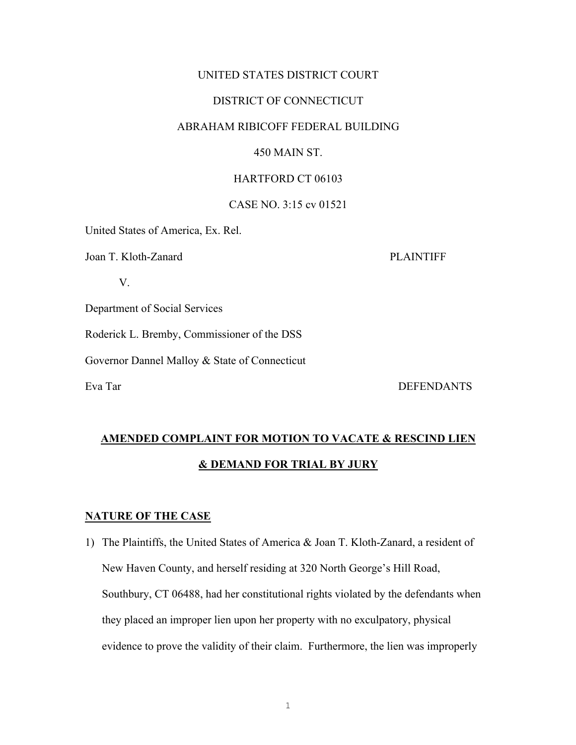### UNITED STATES DISTRICT COURT

### DISTRICT OF CONNECTICUT

### ABRAHAM RIBICOFF FEDERAL BUILDING

### 450 MAIN ST.

#### HARTFORD CT 06103

### CASE NO. 3:15 cv 01521

United States of America, Ex. Rel.

Joan T. Kloth-Zanard PLAINTIFF

V.

Department of Social Services

Roderick L. Bremby, Commissioner of the DSS

Governor Dannel Malloy & State of Connecticut

Eva Tar DEFENDANTS

### **AMENDED COMPLAINT FOR MOTION TO VACATE & RESCIND LIEN & DEMAND FOR TRIAL BY JURY**

#### **NATURE OF THE CASE**

1) The Plaintiffs, the United States of America & Joan T. Kloth-Zanard, a resident of New Haven County, and herself residing at 320 North George's Hill Road, Southbury, CT 06488, had her constitutional rights violated by the defendants when they placed an improper lien upon her property with no exculpatory, physical evidence to prove the validity of their claim. Furthermore, the lien was improperly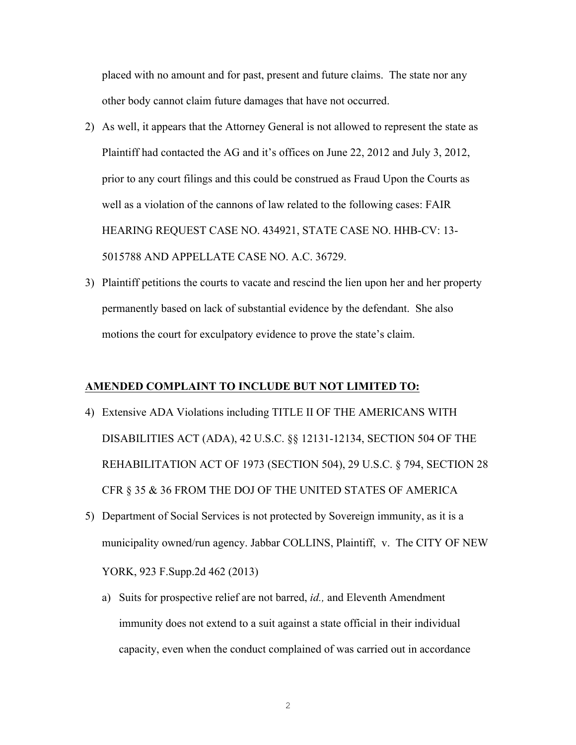placed with no amount and for past, present and future claims. The state nor any other body cannot claim future damages that have not occurred.

- 2) As well, it appears that the Attorney General is not allowed to represent the state as Plaintiff had contacted the AG and it's offices on June 22, 2012 and July 3, 2012, prior to any court filings and this could be construed as Fraud Upon the Courts as well as a violation of the cannons of law related to the following cases: FAIR HEARING REQUEST CASE NO. 434921, STATE CASE NO. HHB-CV: 13- 5015788 AND APPELLATE CASE NO. A.C. 36729.
- 3) Plaintiff petitions the courts to vacate and rescind the lien upon her and her property permanently based on lack of substantial evidence by the defendant. She also motions the court for exculpatory evidence to prove the state's claim.

#### **AMENDED COMPLAINT TO INCLUDE BUT NOT LIMITED TO:**

- 4) Extensive ADA Violations including TITLE II OF THE AMERICANS WITH DISABILITIES ACT (ADA), 42 U.S.C. §§ 12131-12134, SECTION 504 OF THE REHABILITATION ACT OF 1973 (SECTION 504), 29 U.S.C. § 794, SECTION 28 CFR § 35 & 36 FROM THE DOJ OF THE UNITED STATES OF AMERICA
- 5) Department of Social Services is not protected by Sovereign immunity, as it is a municipality owned/run agency. Jabbar COLLINS, Plaintiff, v. The CITY OF NEW YORK, 923 F.Supp.2d 462 (2013)
	- a) Suits for prospective relief are not barred, *id.,* and Eleventh Amendment immunity does not extend to a suit against a state official in their individual capacity, even when the conduct complained of was carried out in accordance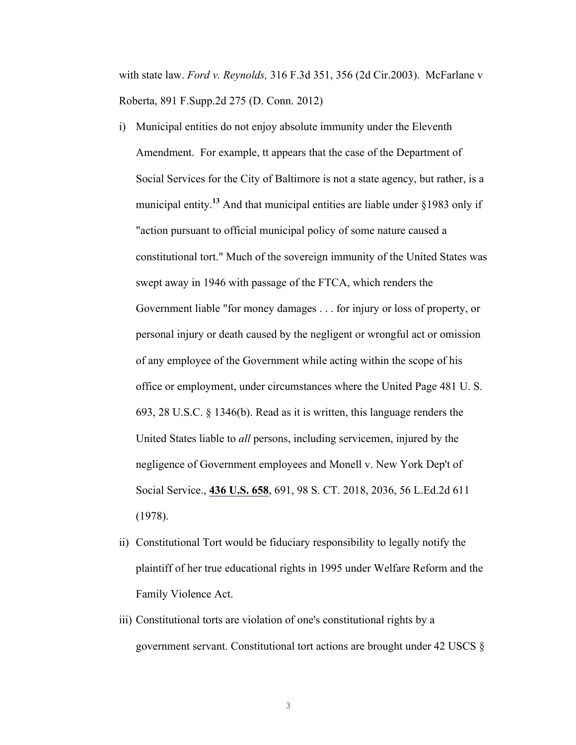with state law. *Ford v. Reynolds,* 316 F.3d 351, 356 (2d Cir.2003). McFarlane v Roberta, 891 F.Supp.2d 275 (D. Conn. 2012)

- i) Municipal entities do not enjoy absolute immunity under the Eleventh Amendment. For example, tt appears that the case of the Department of Social Services for the City of Baltimore is not a state agency, but rather, is a municipal entity.**<sup>13</sup>** And that municipal entities are liable under §1983 only if "action pursuant to official municipal policy of some nature caused a constitutional tort." Much of the sovereign immunity of the United States was swept away in 1946 with passage of the FTCA, which renders the Government liable "for money damages . . . for injury or loss of property, or personal injury or death caused by the negligent or wrongful act or omission of any employee of the Government while acting within the scope of his office or employment, under circumstances where the United Page 481 U. S. 693, 28 U.S.C. § 1346(b). Read as it is written, this language renders the United States liable to *all* persons, including servicemen, injured by the negligence of Government employees and Monell v. New York Dep't of Social Service., **436 U.S. 658**, 691, 98 S. CT. 2018, 2036, 56 L.Ed.2d 611 (1978).
- ii) Constitutional Tort would be fiduciary responsibility to legally notify the plaintiff of her true educational rights in 1995 under Welfare Reform and the Family Violence Act.
- iii) Constitutional torts are violation of one's constitutional rights by a government servant. Constitutional tort actions are brought under 42 USCS §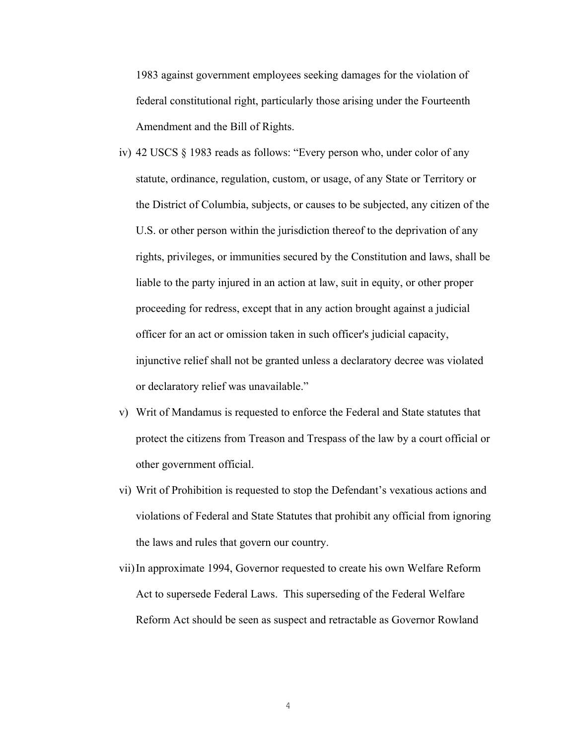1983 against government employees seeking damages for the violation of federal constitutional right, particularly those arising under the Fourteenth Amendment and the Bill of Rights.

- iv) 42 USCS § 1983 reads as follows: "Every person who, under color of any statute, ordinance, regulation, custom, or usage, of any State or Territory or the District of Columbia, subjects, or causes to be subjected, any citizen of the U.S. or other person within the jurisdiction thereof to the deprivation of any rights, privileges, or immunities secured by the Constitution and laws, shall be liable to the party injured in an action at law, suit in equity, or other proper proceeding for redress, except that in any action brought against a judicial officer for an act or omission taken in such officer's judicial capacity, injunctive relief shall not be granted unless a declaratory decree was violated or declaratory relief was unavailable."
- v) Writ of Mandamus is requested to enforce the Federal and State statutes that protect the citizens from Treason and Trespass of the law by a court official or other government official.
- vi) Writ of Prohibition is requested to stop the Defendant's vexatious actions and violations of Federal and State Statutes that prohibit any official from ignoring the laws and rules that govern our country.
- vii)In approximate 1994, Governor requested to create his own Welfare Reform Act to supersede Federal Laws. This superseding of the Federal Welfare Reform Act should be seen as suspect and retractable as Governor Rowland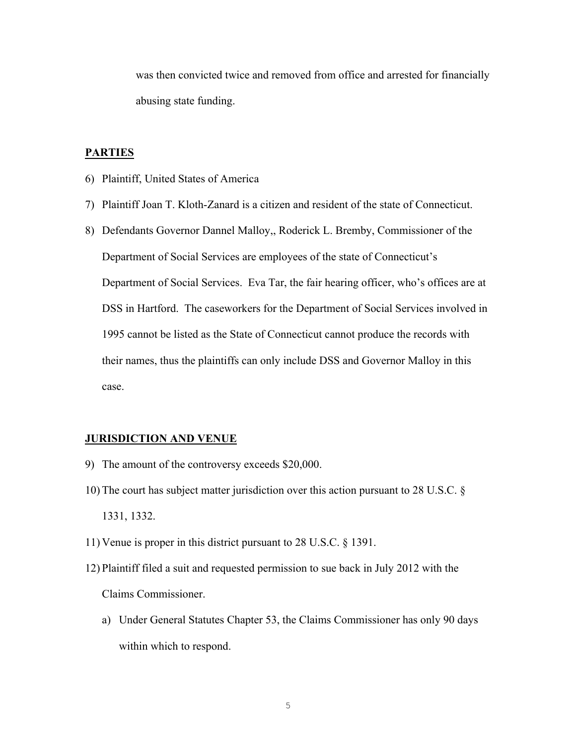was then convicted twice and removed from office and arrested for financially abusing state funding.

#### **PARTIES**

- 6) Plaintiff, United States of America
- 7) Plaintiff Joan T. Kloth-Zanard is a citizen and resident of the state of Connecticut.
- 8) Defendants Governor Dannel Malloy,, Roderick L. Bremby, Commissioner of the Department of Social Services are employees of the state of Connecticut's Department of Social Services. Eva Tar, the fair hearing officer, who's offices are at DSS in Hartford. The caseworkers for the Department of Social Services involved in 1995 cannot be listed as the State of Connecticut cannot produce the records with their names, thus the plaintiffs can only include DSS and Governor Malloy in this case.

#### **JURISDICTION AND VENUE**

- 9) The amount of the controversy exceeds \$20,000.
- 10) The court has subject matter jurisdiction over this action pursuant to 28 U.S.C. § 1331, 1332.
- 11) Venue is proper in this district pursuant to 28 U.S.C. § 1391.
- 12) Plaintiff filed a suit and requested permission to sue back in July 2012 with the Claims Commissioner.
	- a) Under General Statutes Chapter 53, the Claims Commissioner has only 90 days within which to respond.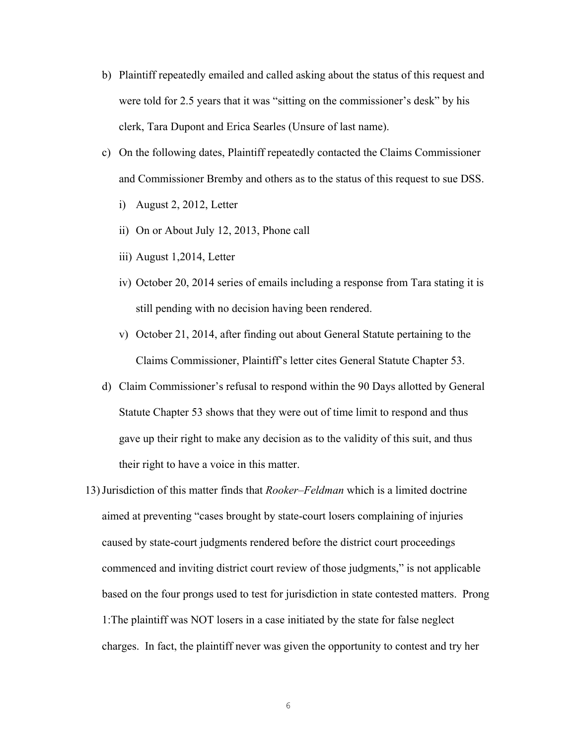- b) Plaintiff repeatedly emailed and called asking about the status of this request and were told for 2.5 years that it was "sitting on the commissioner's desk" by his clerk, Tara Dupont and Erica Searles (Unsure of last name).
- c) On the following dates, Plaintiff repeatedly contacted the Claims Commissioner and Commissioner Bremby and others as to the status of this request to sue DSS.
	- i) August 2, 2012, Letter
	- ii) On or About July 12, 2013, Phone call
	- iii) August 1,2014, Letter
	- iv) October 20, 2014 series of emails including a response from Tara stating it is still pending with no decision having been rendered.
	- v) October 21, 2014, after finding out about General Statute pertaining to the Claims Commissioner, Plaintiff's letter cites General Statute Chapter 53.
- d) Claim Commissioner's refusal to respond within the 90 Days allotted by General Statute Chapter 53 shows that they were out of time limit to respond and thus gave up their right to make any decision as to the validity of this suit, and thus their right to have a voice in this matter.
- 13)Jurisdiction of this matter finds that *Rooker–Feldman* which is a limited doctrine aimed at preventing "cases brought by state-court losers complaining of injuries caused by state-court judgments rendered before the district court proceedings commenced and inviting district court review of those judgments," is not applicable based on the four prongs used to test for jurisdiction in state contested matters. Prong 1:The plaintiff was NOT losers in a case initiated by the state for false neglect charges. In fact, the plaintiff never was given the opportunity to contest and try her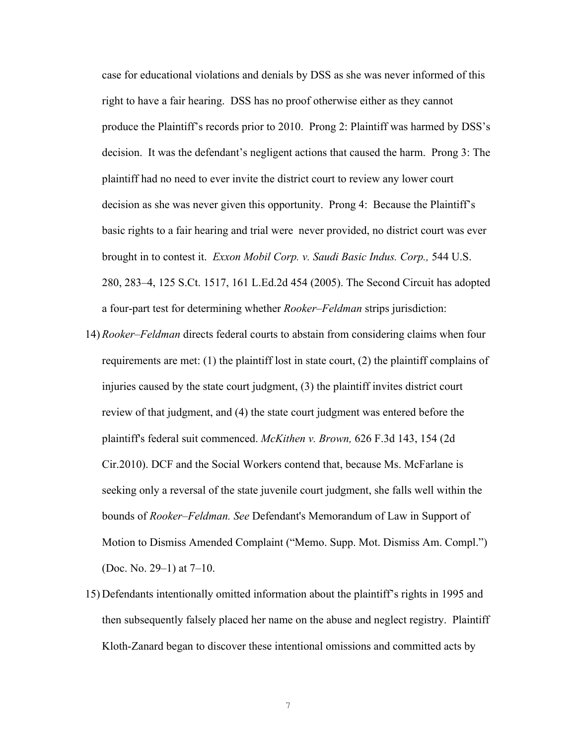case for educational violations and denials by DSS as she was never informed of this right to have a fair hearing. DSS has no proof otherwise either as they cannot produce the Plaintiff's records prior to 2010. Prong 2: Plaintiff was harmed by DSS's decision. It was the defendant's negligent actions that caused the harm. Prong 3: The plaintiff had no need to ever invite the district court to review any lower court decision as she was never given this opportunity. Prong 4: Because the Plaintiff's basic rights to a fair hearing and trial were never provided, no district court was ever brought in to contest it. *Exxon Mobil Corp. v. Saudi Basic Indus. Corp.,* 544 U.S. 280, 283–4, 125 S.Ct. 1517, 161 L.Ed.2d 454 (2005). The Second Circuit has adopted a four-part test for determining whether *Rooker–Feldman* strips jurisdiction:

- 14) *Rooker–Feldman* directs federal courts to abstain from considering claims when four requirements are met: (1) the plaintiff lost in state court, (2) the plaintiff complains of injuries caused by the state court judgment, (3) the plaintiff invites district court review of that judgment, and (4) the state court judgment was entered before the plaintiff's federal suit commenced. *McKithen v. Brown,* 626 F.3d 143, 154 (2d Cir.2010). DCF and the Social Workers contend that, because Ms. McFarlane is seeking only a reversal of the state juvenile court judgment, she falls well within the bounds of *Rooker–Feldman. See* Defendant's Memorandum of Law in Support of Motion to Dismiss Amended Complaint ("Memo. Supp. Mot. Dismiss Am. Compl.") (Doc. No. 29–1) at 7–10.
- 15) Defendants intentionally omitted information about the plaintiff's rights in 1995 and then subsequently falsely placed her name on the abuse and neglect registry. Plaintiff Kloth-Zanard began to discover these intentional omissions and committed acts by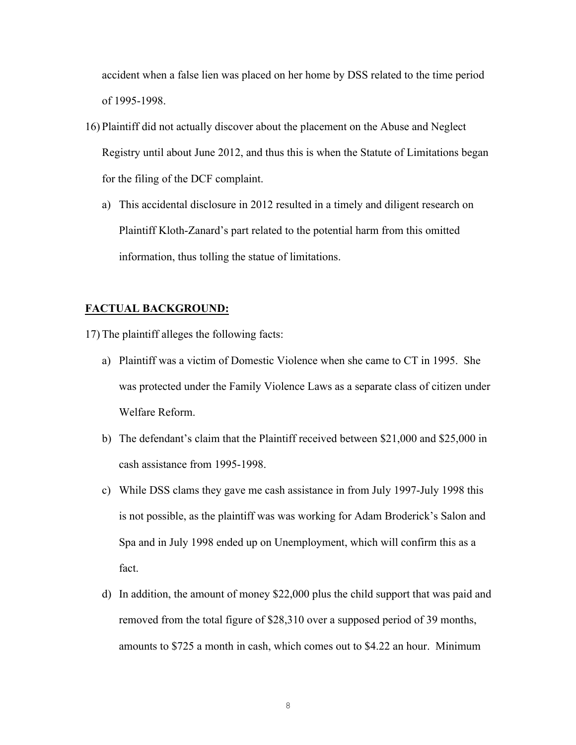accident when a false lien was placed on her home by DSS related to the time period of 1995-1998.

- 16) Plaintiff did not actually discover about the placement on the Abuse and Neglect Registry until about June 2012, and thus this is when the Statute of Limitations began for the filing of the DCF complaint.
	- a) This accidental disclosure in 2012 resulted in a timely and diligent research on Plaintiff Kloth-Zanard's part related to the potential harm from this omitted information, thus tolling the statue of limitations.

### **FACTUAL BACKGROUND:**

17) The plaintiff alleges the following facts:

- a) Plaintiff was a victim of Domestic Violence when she came to CT in 1995. She was protected under the Family Violence Laws as a separate class of citizen under Welfare Reform.
- b) The defendant's claim that the Plaintiff received between \$21,000 and \$25,000 in cash assistance from 1995-1998.
- c) While DSS clams they gave me cash assistance in from July 1997-July 1998 this is not possible, as the plaintiff was was working for Adam Broderick's Salon and Spa and in July 1998 ended up on Unemployment, which will confirm this as a fact.
- d) In addition, the amount of money \$22,000 plus the child support that was paid and removed from the total figure of \$28,310 over a supposed period of 39 months, amounts to \$725 a month in cash, which comes out to \$4.22 an hour. Minimum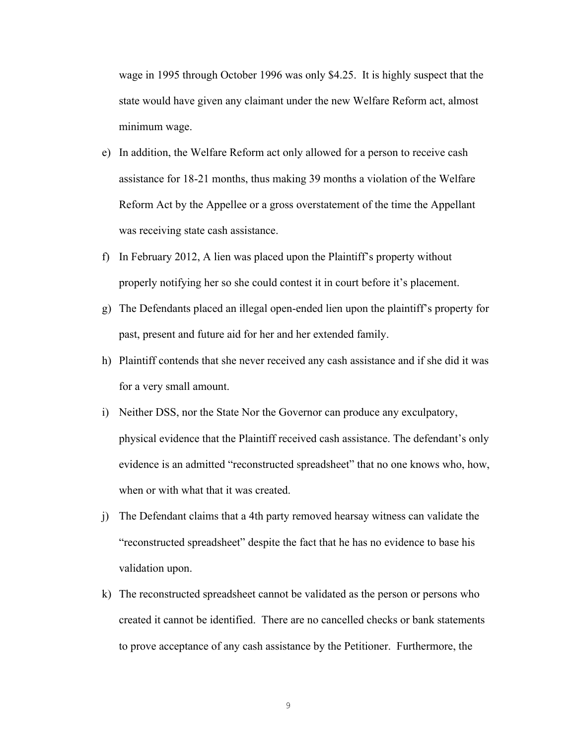wage in 1995 through October 1996 was only \$4.25. It is highly suspect that the state would have given any claimant under the new Welfare Reform act, almost minimum wage.

- e) In addition, the Welfare Reform act only allowed for a person to receive cash assistance for 18-21 months, thus making 39 months a violation of the Welfare Reform Act by the Appellee or a gross overstatement of the time the Appellant was receiving state cash assistance.
- f) In February 2012, A lien was placed upon the Plaintiff's property without properly notifying her so she could contest it in court before it's placement.
- g) The Defendants placed an illegal open-ended lien upon the plaintiff's property for past, present and future aid for her and her extended family.
- h) Plaintiff contends that she never received any cash assistance and if she did it was for a very small amount.
- i) Neither DSS, nor the State Nor the Governor can produce any exculpatory, physical evidence that the Plaintiff received cash assistance. The defendant's only evidence is an admitted "reconstructed spreadsheet" that no one knows who, how, when or with what that it was created.
- j) The Defendant claims that a 4th party removed hearsay witness can validate the "reconstructed spreadsheet" despite the fact that he has no evidence to base his validation upon.
- k) The reconstructed spreadsheet cannot be validated as the person or persons who created it cannot be identified. There are no cancelled checks or bank statements to prove acceptance of any cash assistance by the Petitioner. Furthermore, the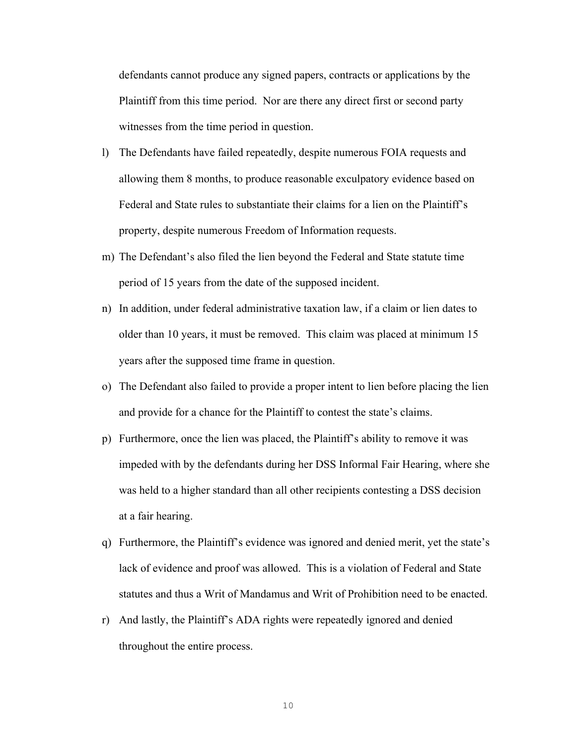defendants cannot produce any signed papers, contracts or applications by the Plaintiff from this time period. Nor are there any direct first or second party witnesses from the time period in question.

- l) The Defendants have failed repeatedly, despite numerous FOIA requests and allowing them 8 months, to produce reasonable exculpatory evidence based on Federal and State rules to substantiate their claims for a lien on the Plaintiff's property, despite numerous Freedom of Information requests.
- m) The Defendant's also filed the lien beyond the Federal and State statute time period of 15 years from the date of the supposed incident.
- n) In addition, under federal administrative taxation law, if a claim or lien dates to older than 10 years, it must be removed. This claim was placed at minimum 15 years after the supposed time frame in question.
- o) The Defendant also failed to provide a proper intent to lien before placing the lien and provide for a chance for the Plaintiff to contest the state's claims.
- p) Furthermore, once the lien was placed, the Plaintiff's ability to remove it was impeded with by the defendants during her DSS Informal Fair Hearing, where she was held to a higher standard than all other recipients contesting a DSS decision at a fair hearing.
- q) Furthermore, the Plaintiff's evidence was ignored and denied merit, yet the state's lack of evidence and proof was allowed. This is a violation of Federal and State statutes and thus a Writ of Mandamus and Writ of Prohibition need to be enacted.
- r) And lastly, the Plaintiff's ADA rights were repeatedly ignored and denied throughout the entire process.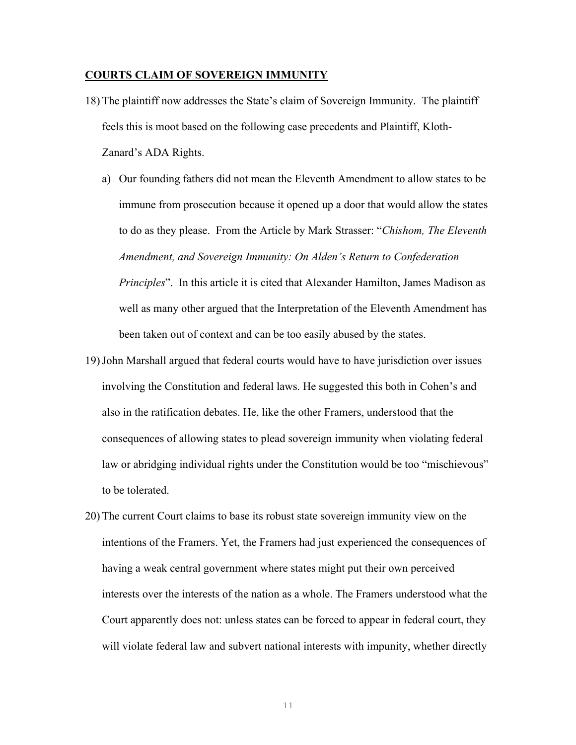#### **COURTS CLAIM OF SOVEREIGN IMMUNITY**

- 18) The plaintiff now addresses the State's claim of Sovereign Immunity. The plaintiff feels this is moot based on the following case precedents and Plaintiff, Kloth-Zanard's ADA Rights.
	- a) Our founding fathers did not mean the Eleventh Amendment to allow states to be immune from prosecution because it opened up a door that would allow the states to do as they please. From the Article by Mark Strasser: "*Chishom, The Eleventh Amendment, and Sovereign Immunity: On Alden's Return to Confederation Principles*". In this article it is cited that Alexander Hamilton, James Madison as well as many other argued that the Interpretation of the Eleventh Amendment has been taken out of context and can be too easily abused by the states.
- 19)John Marshall argued that federal courts would have to have jurisdiction over issues involving the Constitution and federal laws. He suggested this both in Cohen's and also in the ratification debates. He, like the other Framers, understood that the consequences of allowing states to plead sovereign immunity when violating federal law or abridging individual rights under the Constitution would be too "mischievous" to be tolerated.
- 20) The current Court claims to base its robust state sovereign immunity view on the intentions of the Framers. Yet, the Framers had just experienced the consequences of having a weak central government where states might put their own perceived interests over the interests of the nation as a whole. The Framers understood what the Court apparently does not: unless states can be forced to appear in federal court, they will violate federal law and subvert national interests with impunity, whether directly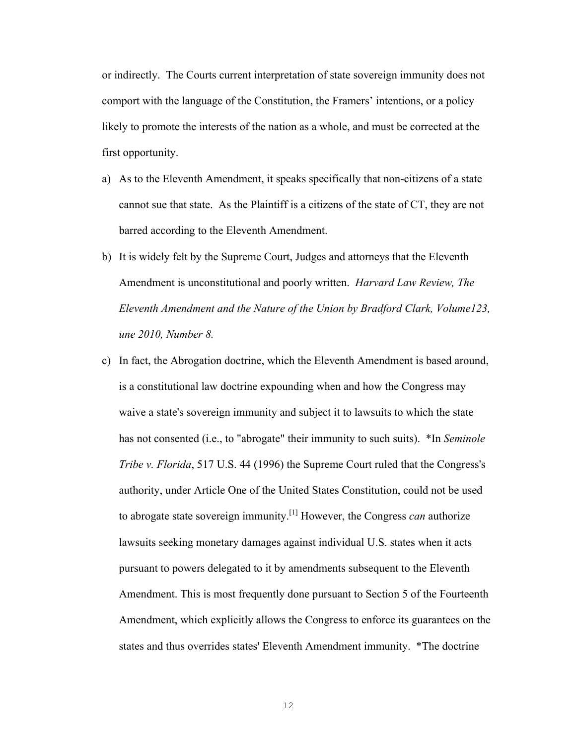or indirectly. The Courts current interpretation of state sovereign immunity does not comport with the language of the Constitution, the Framers' intentions, or a policy likely to promote the interests of the nation as a whole, and must be corrected at the first opportunity.

- a) As to the Eleventh Amendment, it speaks specifically that non-citizens of a state cannot sue that state. As the Plaintiff is a citizens of the state of CT, they are not barred according to the Eleventh Amendment.
- b) It is widely felt by the Supreme Court, Judges and attorneys that the Eleventh Amendment is unconstitutional and poorly written. *Harvard Law Review, The Eleventh Amendment and the Nature of the Union by Bradford Clark, Volume123, une 2010, Number 8.*
- c) In fact, the Abrogation doctrine, which the Eleventh Amendment is based around, is a constitutional law doctrine expounding when and how the Congress may waive a state's sovereign immunity and subject it to lawsuits to which the state has not consented (i.e., to "abrogate" their immunity to such suits). \*In *Seminole Tribe v. Florida*, 517 U.S. 44 (1996) the Supreme Court ruled that the Congress's authority, under Article One of the United States Constitution, could not be used to abrogate state sovereign immunity.[1] However, the Congress *can* authorize lawsuits seeking monetary damages against individual U.S. states when it acts pursuant to powers delegated to it by amendments subsequent to the Eleventh Amendment. This is most frequently done pursuant to Section 5 of the Fourteenth Amendment, which explicitly allows the Congress to enforce its guarantees on the states and thus overrides states' Eleventh Amendment immunity. \*The doctrine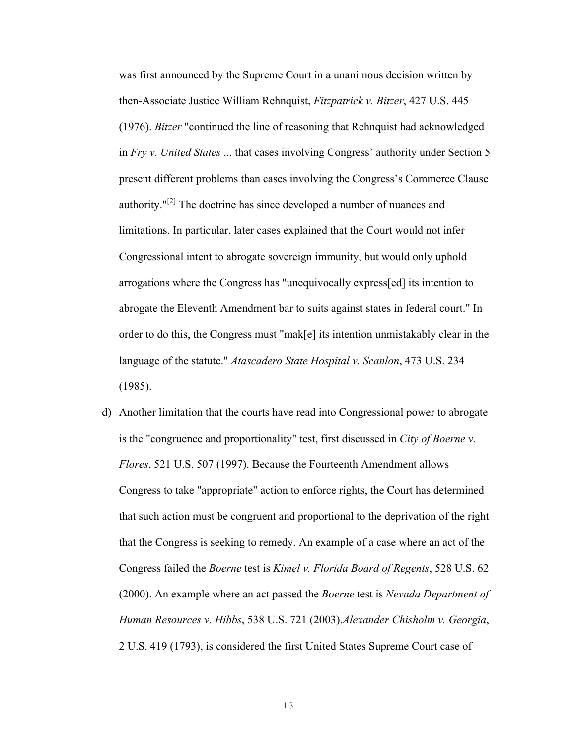was first announced by the Supreme Court in a unanimous decision written by then-Associate Justice William Rehnquist, *Fitzpatrick v. Bitzer*, 427 U.S. 445 (1976). *Bitzer* "continued the line of reasoning that Rehnquist had acknowledged in *Fry v. United States* ... that cases involving Congress' authority under Section 5 present different problems than cases involving the Congress's Commerce Clause authority."[2] The doctrine has since developed a number of nuances and limitations. In particular, later cases explained that the Court would not infer Congressional intent to abrogate sovereign immunity, but would only uphold arrogations where the Congress has "unequivocally express[ed] its intention to abrogate the Eleventh Amendment bar to suits against states in federal court." In order to do this, the Congress must "mak[e] its intention unmistakably clear in the language of the statute." *Atascadero State Hospital v. Scanlon*, 473 U.S. 234 (1985).

d) Another limitation that the courts have read into Congressional power to abrogate is the "congruence and proportionality" test, first discussed in *City of Boerne v. Flores*, 521 U.S. 507 (1997). Because the Fourteenth Amendment allows Congress to take "appropriate" action to enforce rights, the Court has determined that such action must be congruent and proportional to the deprivation of the right that the Congress is seeking to remedy. An example of a case where an act of the Congress failed the *Boerne* test is *Kimel v. Florida Board of Regents*, 528 U.S. 62 (2000). An example where an act passed the *Boerne* test is *Nevada Department of Human Resources v. Hibbs*, 538 U.S. 721 (2003).*Alexander Chisholm v. Georgia*, 2 U.S. 419 (1793), is considered the first United States Supreme Court case of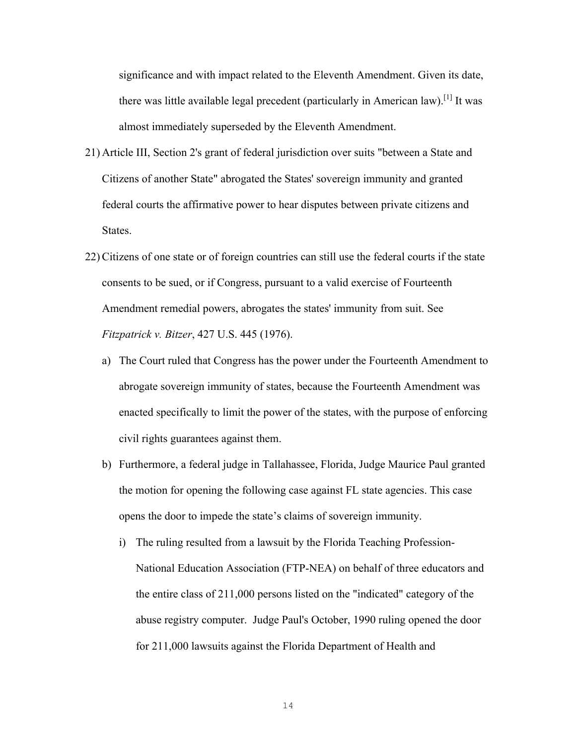significance and with impact related to the Eleventh Amendment. Given its date, there was little available legal precedent (particularly in American law).<sup>[1]</sup> It was almost immediately superseded by the Eleventh Amendment.

- 21) Article III, Section 2's grant of federal jurisdiction over suits "between a State and Citizens of another State" abrogated the States' sovereign immunity and granted federal courts the affirmative power to hear disputes between private citizens and States.
- 22) Citizens of one state or of foreign countries can still use the federal courts if the state consents to be sued, or if Congress, pursuant to a valid exercise of Fourteenth Amendment remedial powers, abrogates the states' immunity from suit. See *Fitzpatrick v. Bitzer*, 427 U.S. 445 (1976).
	- a) The Court ruled that Congress has the power under the Fourteenth Amendment to abrogate sovereign immunity of states, because the Fourteenth Amendment was enacted specifically to limit the power of the states, with the purpose of enforcing civil rights guarantees against them.
	- b) Furthermore, a federal judge in Tallahassee, Florida, Judge Maurice Paul granted the motion for opening the following case against FL state agencies. This case opens the door to impede the state's claims of sovereign immunity.
		- i) The ruling resulted from a lawsuit by the Florida Teaching Profession-National Education Association (FTP-NEA) on behalf of three educators and the entire class of 211,000 persons listed on the "indicated" category of the abuse registry computer. Judge Paul's October, 1990 ruling opened the door for 211,000 lawsuits against the Florida Department of Health and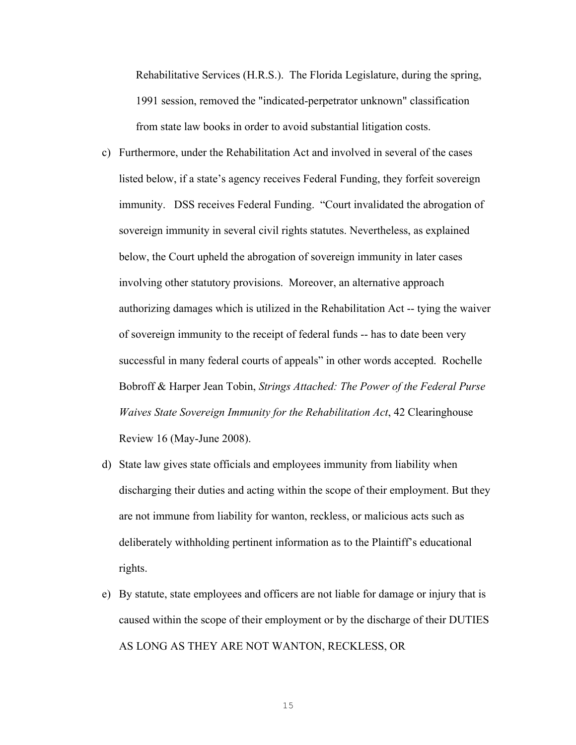Rehabilitative Services (H.R.S.). The Florida Legislature, during the spring, 1991 session, removed the "indicated-perpetrator unknown" classification from state law books in order to avoid substantial litigation costs.

- c) Furthermore, under the Rehabilitation Act and involved in several of the cases listed below, if a state's agency receives Federal Funding, they forfeit sovereign immunity. DSS receives Federal Funding. "Court invalidated the abrogation of sovereign immunity in several civil rights statutes. Nevertheless, as explained below, the Court upheld the abrogation of sovereign immunity in later cases involving other statutory provisions. Moreover, an alternative approach authorizing damages which is utilized in the Rehabilitation Act -- tying the waiver of sovereign immunity to the receipt of federal funds -- has to date been very successful in many federal courts of appeals" in other words accepted. Rochelle Bobroff & Harper Jean Tobin, *Strings Attached: The Power of the Federal Purse Waives State Sovereign Immunity for the Rehabilitation Act*, 42 Clearinghouse Review 16 (May-June 2008).
- d) State law gives state officials and employees immunity from liability when discharging their duties and acting within the scope of their employment. But they are not immune from liability for wanton, reckless, or malicious acts such as deliberately withholding pertinent information as to the Plaintiff's educational rights.
- e) By statute, state employees and officers are not liable for damage or injury that is caused within the scope of their employment or by the discharge of their DUTIES AS LONG AS THEY ARE NOT WANTON, RECKLESS, OR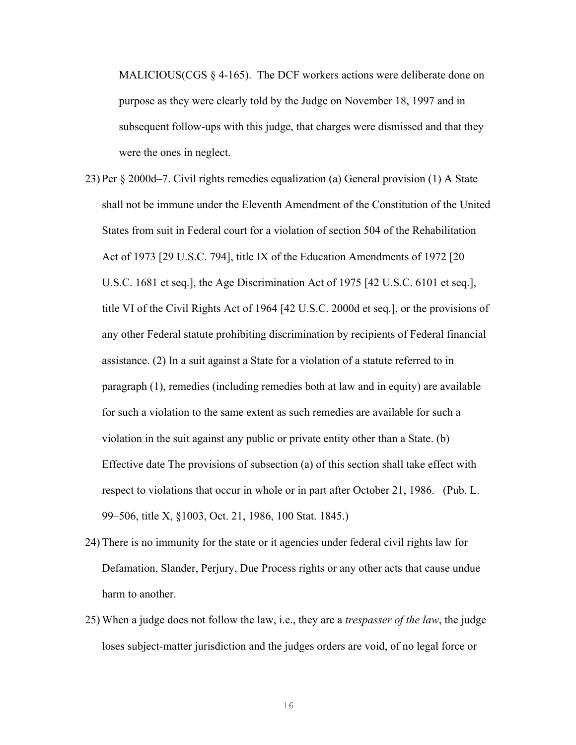MALICIOUS(CGS § 4-165). The DCF workers actions were deliberate done on purpose as they were clearly told by the Judge on November 18, 1997 and in subsequent follow-ups with this judge, that charges were dismissed and that they were the ones in neglect.

- 23) Per § 2000d–7. Civil rights remedies equalization (a) General provision (1) A State shall not be immune under the Eleventh Amendment of the Constitution of the United States from suit in Federal court for a violation of section 504 of the Rehabilitation Act of 1973 [29 U.S.C. 794], title IX of the Education Amendments of 1972 [20 U.S.C. 1681 et seq.], the Age Discrimination Act of 1975 [42 U.S.C. 6101 et seq.], title VI of the Civil Rights Act of 1964 [42 U.S.C. 2000d et seq.], or the provisions of any other Federal statute prohibiting discrimination by recipients of Federal financial assistance. (2) In a suit against a State for a violation of a statute referred to in paragraph (1), remedies (including remedies both at law and in equity) are available for such a violation to the same extent as such remedies are available for such a violation in the suit against any public or private entity other than a State. (b) Effective date The provisions of subsection (a) of this section shall take effect with respect to violations that occur in whole or in part after October 21, 1986. (Pub. L. 99–506, title X, §1003, Oct. 21, 1986, 100 Stat. 1845.)
- 24) There is no immunity for the state or it agencies under federal civil rights law for Defamation, Slander, Perjury, Due Process rights or any other acts that cause undue harm to another.
- 25) When a judge does not follow the law, i.e., they are a *trespasser of the law*, the judge loses subject-matter jurisdiction and the judges orders are void, of no legal force or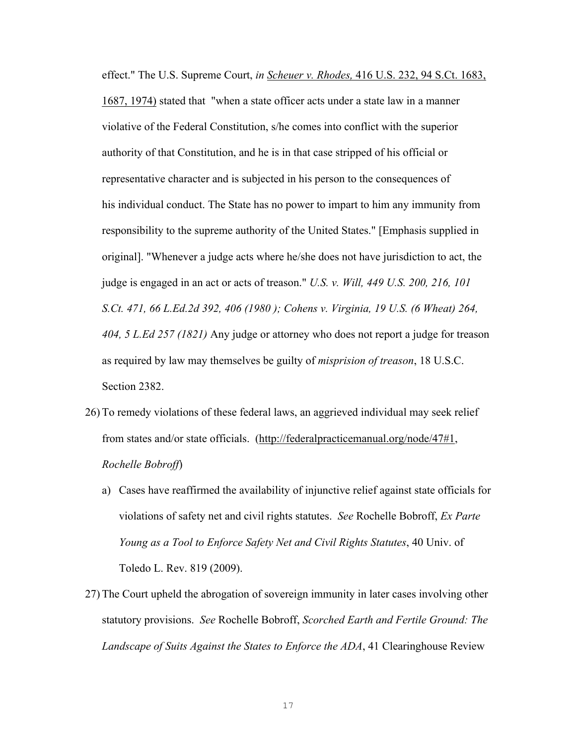effect." The U.S. Supreme Court, *in Scheuer v. Rhodes,* 416 U.S. 232, 94 S.Ct. 1683,

1687, 1974) stated that "when a state officer acts under a state law in a manner violative of the Federal Constitution, s/he comes into conflict with the superior authority of that Constitution, and he is in that case stripped of his official or representative character and is subjected in his person to the consequences of his individual conduct. The State has no power to impart to him any immunity from responsibility to the supreme authority of the United States." [Emphasis supplied in original]. "Whenever a judge acts where he/she does not have jurisdiction to act, the judge is engaged in an act or acts of treason." *U.S. v. Will, 449 U.S. 200, 216, 101 S.Ct. 471, 66 L.Ed.2d 392, 406 (1980 ); Cohens v. Virginia, 19 U.S. (6 Wheat) 264, 404, 5 L.Ed 257 (1821)* Any judge or attorney who does not report a judge for treason as required by law may themselves be guilty of *misprision of treason*, 18 U.S.C. Section 2382.

- 26) To remedy violations of these federal laws, an aggrieved individual may seek relief from states and/or state officials. (http://federalpracticemanual.org/node/47#1, *Rochelle Bobroff*)
	- a) Cases have reaffirmed the availability of injunctive relief against state officials for violations of safety net and civil rights statutes. *See* Rochelle Bobroff, *Ex Parte Young as a Tool to Enforce Safety Net and Civil Rights Statutes*, 40 Univ. of Toledo L. Rev. 819 (2009).
- 27) The Court upheld the abrogation of sovereign immunity in later cases involving other statutory provisions. *See* Rochelle Bobroff, *Scorched Earth and Fertile Ground: The Landscape of Suits Against the States to Enforce the ADA*, 41 Clearinghouse Review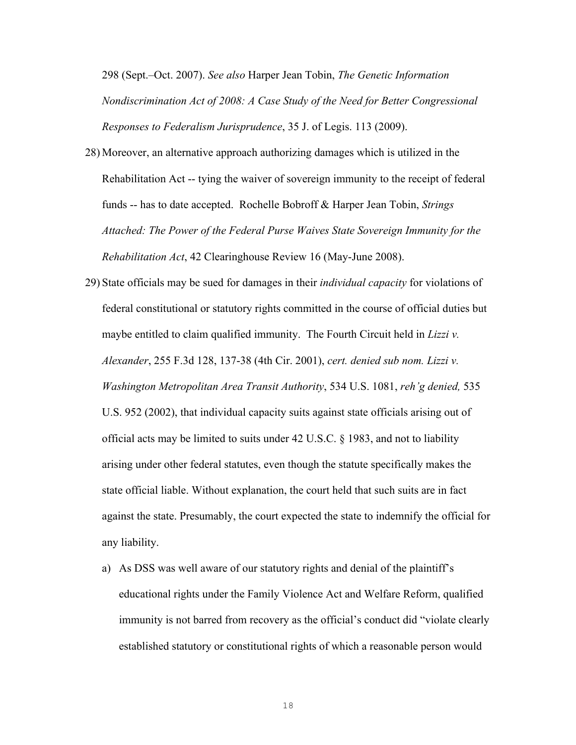298 (Sept.–Oct. 2007). *See also* Harper Jean Tobin, *The Genetic Information Nondiscrimination Act of 2008: A Case Study of the Need for Better Congressional Responses to Federalism Jurisprudence*, 35 J. of Legis. 113 (2009).

- 28) Moreover, an alternative approach authorizing damages which is utilized in the Rehabilitation Act -- tying the waiver of sovereign immunity to the receipt of federal funds -- has to date accepted. Rochelle Bobroff & Harper Jean Tobin, *Strings Attached: The Power of the Federal Purse Waives State Sovereign Immunity for the Rehabilitation Act*, 42 Clearinghouse Review 16 (May-June 2008).
- 29) State officials may be sued for damages in their *individual capacity* for violations of federal constitutional or statutory rights committed in the course of official duties but maybe entitled to claim qualified immunity. The Fourth Circuit held in *Lizzi v. Alexander*, 255 F.3d 128, 137-38 (4th Cir. 2001), *cert. denied sub nom. Lizzi v. Washington Metropolitan Area Transit Authority*, 534 U.S. 1081, *reh'g denied,* 535 U.S. 952 (2002), that individual capacity suits against state officials arising out of official acts may be limited to suits under 42 U.S.C. § 1983, and not to liability arising under other federal statutes, even though the statute specifically makes the state official liable. Without explanation, the court held that such suits are in fact against the state. Presumably, the court expected the state to indemnify the official for any liability.
	- a) As DSS was well aware of our statutory rights and denial of the plaintiff's educational rights under the Family Violence Act and Welfare Reform, qualified immunity is not barred from recovery as the official's conduct did "violate clearly established statutory or constitutional rights of which a reasonable person would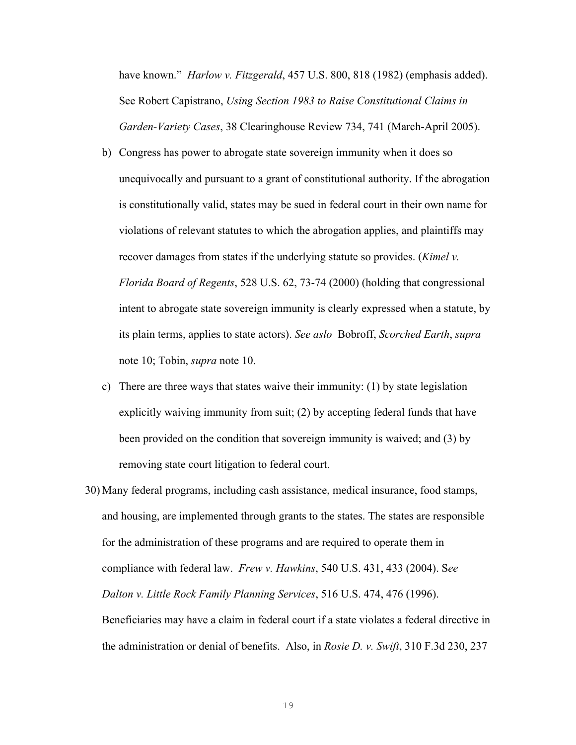have known." *Harlow v. Fitzgerald*, 457 U.S. 800, 818 (1982) (emphasis added). See Robert Capistrano, *Using Section 1983 to Raise Constitutional Claims in Garden-Variety Cases*, 38 Clearinghouse Review 734, 741 (March-April 2005).

- b) Congress has power to abrogate state sovereign immunity when it does so unequivocally and pursuant to a grant of constitutional authority. If the abrogation is constitutionally valid, states may be sued in federal court in their own name for violations of relevant statutes to which the abrogation applies, and plaintiffs may recover damages from states if the underlying statute so provides. (*Kimel v. Florida Board of Regents*, 528 U.S. 62, 73-74 (2000) (holding that congressional intent to abrogate state sovereign immunity is clearly expressed when a statute, by its plain terms, applies to state actors). *See aslo* Bobroff, *Scorched Earth*, *supra* note 10; Tobin, *supra* note 10.
- c) There are three ways that states waive their immunity: (1) by state legislation explicitly waiving immunity from suit; (2) by accepting federal funds that have been provided on the condition that sovereign immunity is waived; and (3) by removing state court litigation to federal court.
- 30) Many federal programs, including cash assistance, medical insurance, food stamps, and housing, are implemented through grants to the states. The states are responsible for the administration of these programs and are required to operate them in compliance with federal law. *Frew v. Hawkins*, 540 U.S. 431, 433 (2004). S*ee Dalton v. Little Rock Family Planning Services*, 516 U.S. 474, 476 (1996). Beneficiaries may have a claim in federal court if a state violates a federal directive in the administration or denial of benefits. Also, in *Rosie D. v. Swift*, 310 F.3d 230, 237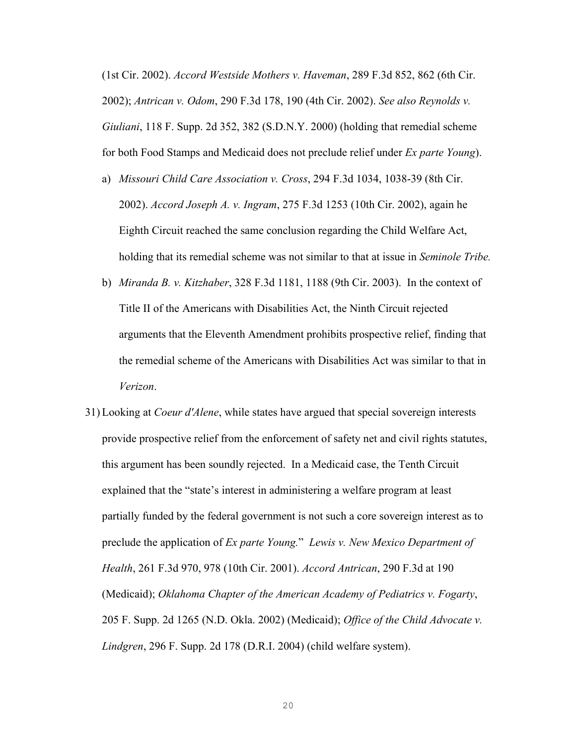(1st Cir. 2002). *Accord Westside Mothers v. Haveman*, 289 F.3d 852, 862 (6th Cir. 2002); *Antrican v. Odom*, 290 F.3d 178, 190 (4th Cir. 2002). *See also Reynolds v. Giuliani*, 118 F. Supp. 2d 352, 382 (S.D.N.Y. 2000) (holding that remedial scheme for both Food Stamps and Medicaid does not preclude relief under *Ex parte Young*).

- a) *Missouri Child Care Association v. Cross*, 294 F.3d 1034, 1038-39 (8th Cir. 2002). *Accord Joseph A. v. Ingram*, 275 F.3d 1253 (10th Cir. 2002), again he Eighth Circuit reached the same conclusion regarding the Child Welfare Act, holding that its remedial scheme was not similar to that at issue in *Seminole Tribe.*
- b) *Miranda B. v. Kitzhaber*, 328 F.3d 1181, 1188 (9th Cir. 2003). In the context of Title II of the Americans with Disabilities Act, the Ninth Circuit rejected arguments that the Eleventh Amendment prohibits prospective relief, finding that the remedial scheme of the Americans with Disabilities Act was similar to that in *Verizon*.
- 31) Looking at *Coeur d'Alene*, while states have argued that special sovereign interests provide prospective relief from the enforcement of safety net and civil rights statutes, this argument has been soundly rejected. In a Medicaid case, the Tenth Circuit explained that the "state's interest in administering a welfare program at least partially funded by the federal government is not such a core sovereign interest as to preclude the application of *Ex parte Young.*" *Lewis v. New Mexico Department of Health*, 261 F.3d 970, 978 (10th Cir. 2001). *Accord Antrican*, 290 F.3d at 190 (Medicaid); *Oklahoma Chapter of the American Academy of Pediatrics v. Fogarty*, 205 F. Supp. 2d 1265 (N.D. Okla. 2002) (Medicaid); *Office of the Child Advocate v. Lindgren*, 296 F. Supp. 2d 178 (D.R.I. 2004) (child welfare system).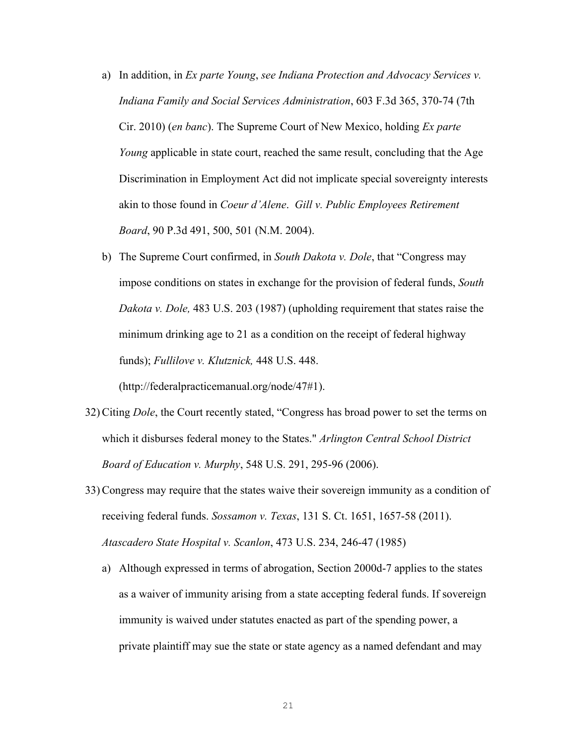- a) In addition, in *Ex parte Young*, *see Indiana Protection and Advocacy Services v. Indiana Family and Social Services Administration*, 603 F.3d 365, 370-74 (7th Cir. 2010) (*en banc*). The Supreme Court of New Mexico, holding *Ex parte Young* applicable in state court, reached the same result, concluding that the Age Discrimination in Employment Act did not implicate special sovereignty interests akin to those found in *Coeur d'Alene*. *Gill v. Public Employees Retirement Board*, 90 P.3d 491, 500, 501 (N.M. 2004).
- b) The Supreme Court confirmed, in *South Dakota v. Dole*, that "Congress may impose conditions on states in exchange for the provision of federal funds, *South Dakota v. Dole,* 483 U.S. 203 (1987) (upholding requirement that states raise the minimum drinking age to 21 as a condition on the receipt of federal highway funds); *Fullilove v. Klutznick,* 448 U.S. 448.

(http://federalpracticemanual.org/node/47#1).

- 32) Citing *Dole*, the Court recently stated, "Congress has broad power to set the terms on which it disburses federal money to the States." *Arlington Central School District Board of Education v. Murphy*, 548 U.S. 291, 295-96 (2006).
- 33) Congress may require that the states waive their sovereign immunity as a condition of receiving federal funds. *Sossamon v. Texas*, 131 S. Ct. 1651, 1657-58 (2011). *Atascadero State Hospital v. Scanlon*, 473 U.S. 234, 246-47 (1985)
	- a) Although expressed in terms of abrogation, Section 2000d-7 applies to the states as a waiver of immunity arising from a state accepting federal funds. If sovereign immunity is waived under statutes enacted as part of the spending power, a private plaintiff may sue the state or state agency as a named defendant and may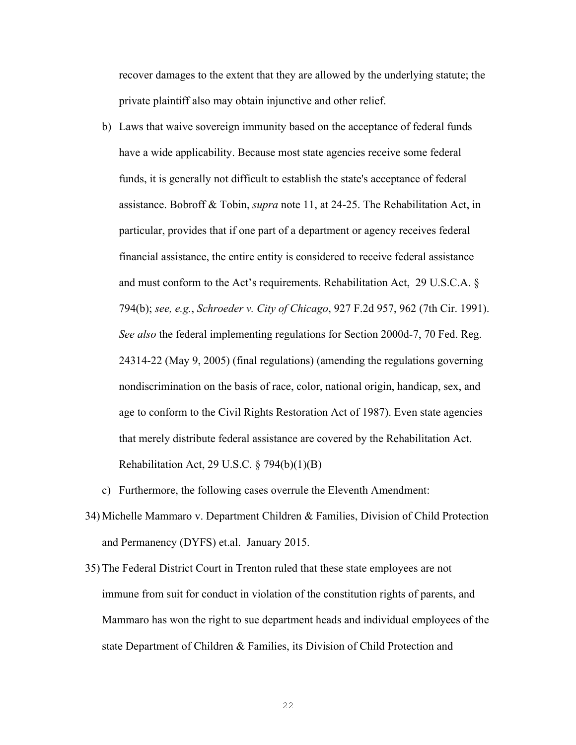recover damages to the extent that they are allowed by the underlying statute; the private plaintiff also may obtain injunctive and other relief.

b) Laws that waive sovereign immunity based on the acceptance of federal funds have a wide applicability. Because most state agencies receive some federal funds, it is generally not difficult to establish the state's acceptance of federal assistance. Bobroff & Tobin, *supra* note 11, at 24-25. The Rehabilitation Act, in particular, provides that if one part of a department or agency receives federal financial assistance, the entire entity is considered to receive federal assistance and must conform to the Act's requirements. Rehabilitation Act, 29 U.S.C.A. § 794(b); *see, e.g.*, *Schroeder v. City of Chicago*, 927 F.2d 957, 962 (7th Cir. 1991). *See also* the federal implementing regulations for Section 2000d-7, 70 Fed. Reg. 24314-22 (May 9, 2005) (final regulations) (amending the regulations governing nondiscrimination on the basis of race, color, national origin, handicap, sex, and age to conform to the Civil Rights Restoration Act of 1987). Even state agencies that merely distribute federal assistance are covered by the Rehabilitation Act. Rehabilitation Act, 29 U.S.C.  $\S$  794(b)(1)(B)

c) Furthermore, the following cases overrule the Eleventh Amendment:

- 34) Michelle Mammaro v. Department Children & Families, Division of Child Protection and Permanency (DYFS) et.al. January 2015.
- 35) The Federal District Court in Trenton ruled that these state employees are not immune from suit for conduct in violation of the constitution rights of parents, and Mammaro has won the right to sue department heads and individual employees of the state Department of Children & Families, its Division of Child Protection and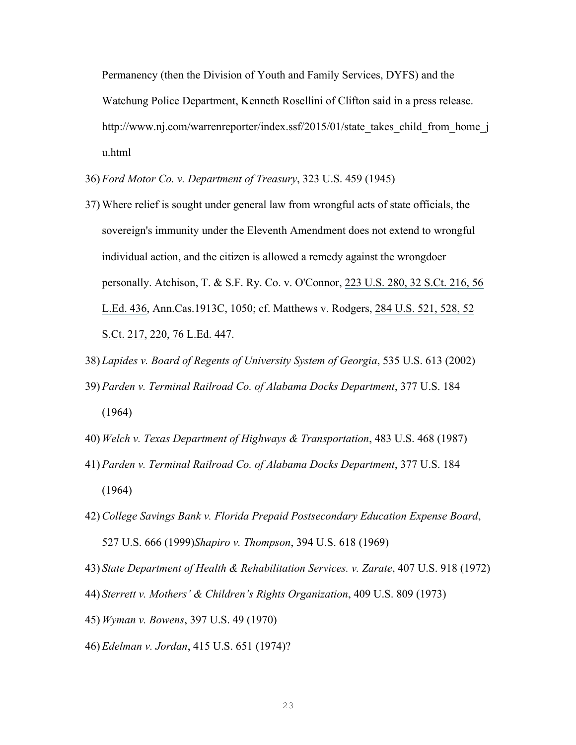Permanency (then the Division of Youth and Family Services, DYFS) and the Watchung Police Department, Kenneth Rosellini of Clifton said in a press release. http://www.nj.com/warrenreporter/index.ssf/2015/01/state\_takes\_child\_from\_home\_j u.html

- 36) *Ford Motor Co. v. Department of Treasury*, 323 U.S. 459 (1945)
- 37) Where relief is sought under general law from wrongful acts of state officials, the sovereign's immunity under the Eleventh Amendment does not extend to wrongful individual action, and the citizen is allowed a remedy against the wrongdoer personally. Atchison, T. & S.F. Ry. Co. v. O'Connor, 223 U.S. 280, 32 S.Ct. 216, 56 L.Ed. 436, Ann.Cas.1913C, 1050; cf. Matthews v. Rodgers, 284 U.S. 521, 528, 52 S.Ct. 217, 220, 76 L.Ed. 447.
- 38) *Lapides v. Board of Regents of University System of Georgia*, 535 U.S. 613 (2002)
- 39) *Parden v. Terminal Railroad Co. of Alabama Docks Department*, 377 U.S. 184 (1964)
- 40) *Welch v. Texas Department of Highways & Transportation*, 483 U.S. 468 (1987)
- 41) *Parden v. Terminal Railroad Co. of Alabama Docks Department*, 377 U.S. 184 (1964)
- 42) *College Savings Bank v. Florida Prepaid Postsecondary Education Expense Board*, 527 U.S. 666 (1999)*Shapiro v. Thompson*, 394 U.S. 618 (1969)
- 43) *State Department of Health & Rehabilitation Services. v. Zarate*, 407 U.S. 918 (1972)
- 44) *Sterrett v. Mothers' & Children's Rights Organization*, 409 U.S. 809 (1973)
- 45) *Wyman v. Bowens*, 397 U.S. 49 (1970)
- 46) *Edelman v. Jordan*, 415 U.S. 651 (1974)?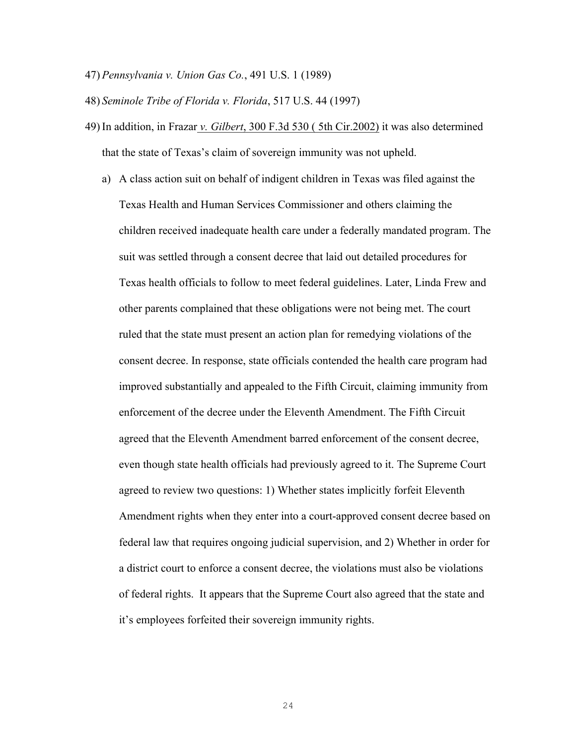47) *Pennsylvania v. Union Gas Co.*, 491 U.S. 1 (1989)

48) *Seminole Tribe of Florida v. Florida*, 517 U.S. 44 (1997)

- 49) In addition, in Frazar *v. Gilbert*, 300 F.3d 530 ( 5th Cir.2002) it was also determined that the state of Texas's claim of sovereign immunity was not upheld.
	- a) A class action suit on behalf of indigent children in Texas was filed against the Texas Health and Human Services Commissioner and others claiming the children received inadequate health care under a federally mandated program. The suit was settled through a consent decree that laid out detailed procedures for Texas health officials to follow to meet federal guidelines. Later, Linda Frew and other parents complained that these obligations were not being met. The court ruled that the state must present an action plan for remedying violations of the consent decree. In response, state officials contended the health care program had improved substantially and appealed to the Fifth Circuit, claiming immunity from enforcement of the decree under the Eleventh Amendment. The Fifth Circuit agreed that the Eleventh Amendment barred enforcement of the consent decree, even though state health officials had previously agreed to it. The Supreme Court agreed to review two questions: 1) Whether states implicitly forfeit Eleventh Amendment rights when they enter into a court-approved consent decree based on federal law that requires ongoing judicial supervision, and 2) Whether in order for a district court to enforce a consent decree, the violations must also be violations of federal rights. It appears that the Supreme Court also agreed that the state and it's employees forfeited their sovereign immunity rights.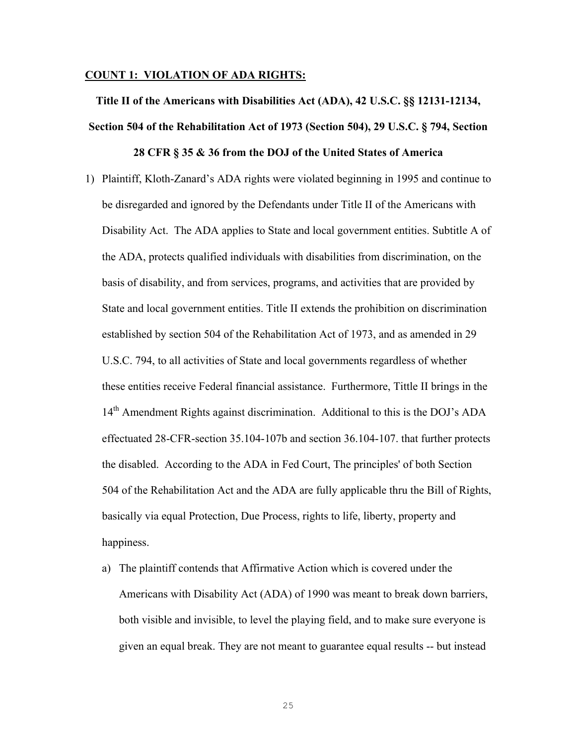#### **COUNT 1: VIOLATION OF ADA RIGHTS:**

**Title II of the Americans with Disabilities Act (ADA), 42 U.S.C. §§ 12131-12134, Section 504 of the Rehabilitation Act of 1973 (Section 504), 29 U.S.C. § 794, Section** 

### **28 CFR § 35 & 36 from the DOJ of the United States of America**

- 1) Plaintiff, Kloth-Zanard's ADA rights were violated beginning in 1995 and continue to be disregarded and ignored by the Defendants under Title II of the Americans with Disability Act. The ADA applies to State and local government entities. Subtitle A of the ADA, protects qualified individuals with disabilities from discrimination, on the basis of disability, and from services, programs, and activities that are provided by State and local government entities. Title II extends the prohibition on discrimination established by section 504 of the Rehabilitation Act of 1973, and as amended in 29 U.S.C. 794, to all activities of State and local governments regardless of whether these entities receive Federal financial assistance. Furthermore, Tittle II brings in the 14<sup>th</sup> Amendment Rights against discrimination. Additional to this is the DOJ's ADA effectuated 28-CFR-section 35.104-107b and section 36.104-107. that further protects the disabled. According to the ADA in Fed Court, The principles' of both Section 504 of the Rehabilitation Act and the ADA are fully applicable thru the Bill of Rights, basically via equal Protection, Due Process, rights to life, liberty, property and happiness.
	- a) The plaintiff contends that Affirmative Action which is covered under the Americans with Disability Act (ADA) of 1990 was meant to break down barriers, both visible and invisible, to level the playing field, and to make sure everyone is given an equal break. They are not meant to guarantee equal results -- but instead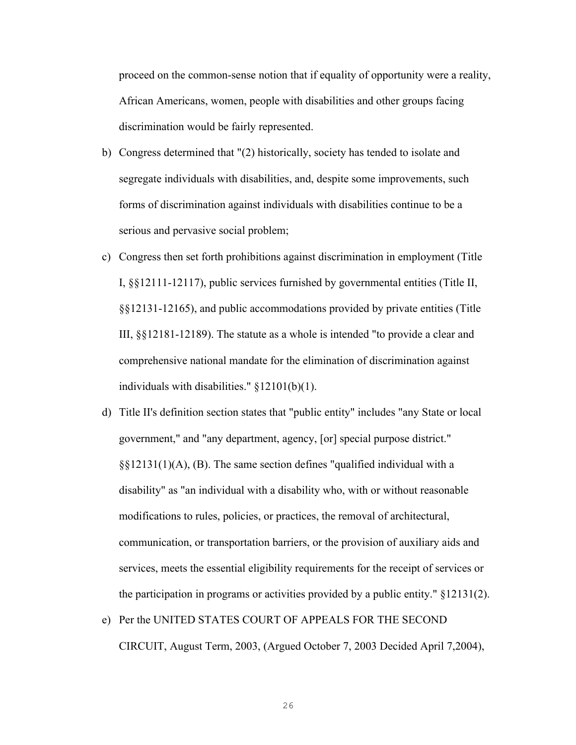proceed on the common-sense notion that if equality of opportunity were a reality, African Americans, women, people with disabilities and other groups facing discrimination would be fairly represented.

- b) Congress determined that "(2) historically, society has tended to isolate and segregate individuals with disabilities, and, despite some improvements, such forms of discrimination against individuals with disabilities continue to be a serious and pervasive social problem;
- c) Congress then set forth prohibitions against discrimination in employment (Title I, §§12111-12117), public services furnished by governmental entities (Title II, §§12131-12165), and public accommodations provided by private entities (Title III, §§12181-12189). The statute as a whole is intended "to provide a clear and comprehensive national mandate for the elimination of discrimination against individuals with disabilities." §12101(b)(1).
- d) Title II's definition section states that "public entity" includes "any State or local government," and "any department, agency, [or] special purpose district."  $\S$ §12131(1)(A), (B). The same section defines "qualified individual with a disability" as "an individual with a disability who, with or without reasonable modifications to rules, policies, or practices, the removal of architectural, communication, or transportation barriers, or the provision of auxiliary aids and services, meets the essential eligibility requirements for the receipt of services or the participation in programs or activities provided by a public entity." §12131(2).
- e) Per the UNITED STATES COURT OF APPEALS FOR THE SECOND CIRCUIT, August Term, 2003, (Argued October 7, 2003 Decided April 7,2004),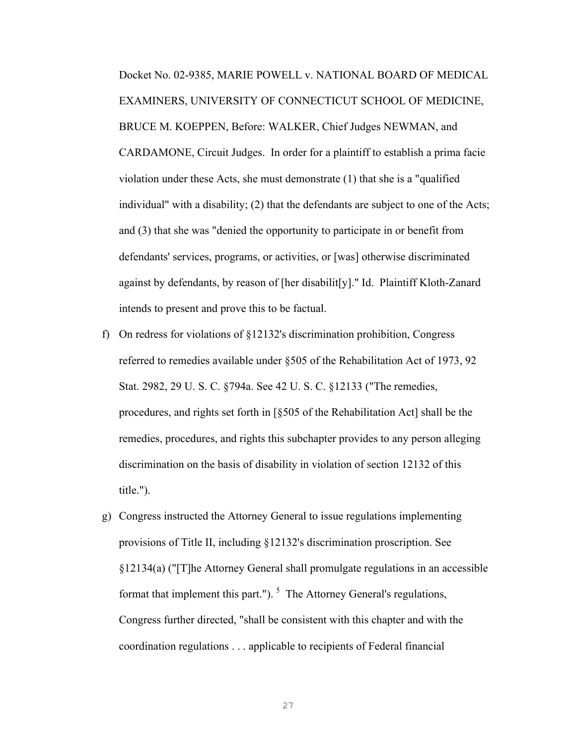Docket No. 02-9385, MARIE POWELL v. NATIONAL BOARD OF MEDICAL EXAMINERS, UNIVERSITY OF CONNECTICUT SCHOOL OF MEDICINE, BRUCE M. KOEPPEN, Before: WALKER, Chief Judges NEWMAN, and CARDAMONE, Circuit Judges. In order for a plaintiff to establish a prima facie violation under these Acts, she must demonstrate (1) that she is a "qualified individual" with a disability; (2) that the defendants are subject to one of the Acts; and (3) that she was "denied the opportunity to participate in or benefit from defendants' services, programs, or activities, or [was] otherwise discriminated against by defendants, by reason of [her disabilit[y]." Id. Plaintiff Kloth-Zanard intends to present and prove this to be factual.

- f) On redress for violations of §12132's discrimination prohibition, Congress referred to remedies available under §505 of the Rehabilitation Act of 1973, 92 Stat. 2982, 29 U. S. C. §794a. See 42 U. S. C. §12133 ("The remedies, procedures, and rights set forth in [§505 of the Rehabilitation Act] shall be the remedies, procedures, and rights this subchapter provides to any person alleging discrimination on the basis of disability in violation of section 12132 of this title.").
- g) Congress instructed the Attorney General to issue regulations implementing provisions of Title II, including §12132's discrimination proscription. See §12134(a) ("[T]he Attorney General shall promulgate regulations in an accessible format that implement this part.").  $5$  The Attorney General's regulations, Congress further directed, "shall be consistent with this chapter and with the coordination regulations . . . applicable to recipients of Federal financial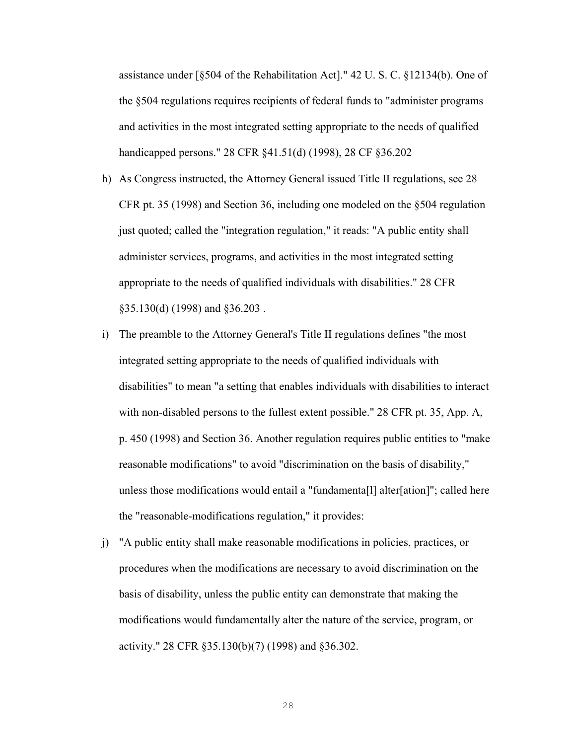assistance under [§504 of the Rehabilitation Act]." 42 U. S. C. §12134(b). One of the §504 regulations requires recipients of federal funds to "administer programs and activities in the most integrated setting appropriate to the needs of qualified handicapped persons." 28 CFR §41.51(d) (1998), 28 CF §36.202

- h) As Congress instructed, the Attorney General issued Title II regulations, see 28 CFR pt. 35 (1998) and Section 36, including one modeled on the §504 regulation just quoted; called the "integration regulation," it reads: "A public entity shall administer services, programs, and activities in the most integrated setting appropriate to the needs of qualified individuals with disabilities." 28 CFR §35.130(d) (1998) and §36.203 .
- i) The preamble to the Attorney General's Title II regulations defines "the most integrated setting appropriate to the needs of qualified individuals with disabilities" to mean "a setting that enables individuals with disabilities to interact with non-disabled persons to the fullest extent possible." 28 CFR pt. 35, App. A, p. 450 (1998) and Section 36. Another regulation requires public entities to "make reasonable modifications" to avoid "discrimination on the basis of disability," unless those modifications would entail a "fundamenta[l] alter[ation]"; called here the "reasonable-modifications regulation," it provides:
- j) "A public entity shall make reasonable modifications in policies, practices, or procedures when the modifications are necessary to avoid discrimination on the basis of disability, unless the public entity can demonstrate that making the modifications would fundamentally alter the nature of the service, program, or activity." 28 CFR §35.130(b)(7) (1998) and §36.302.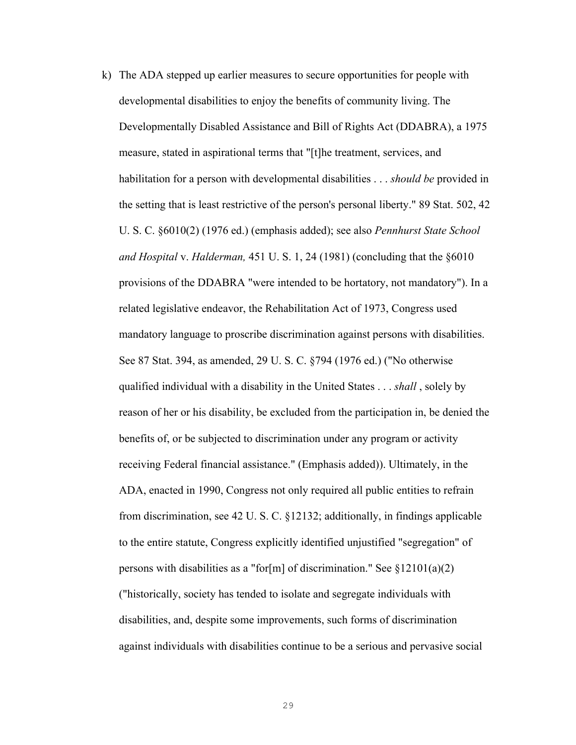k) The ADA stepped up earlier measures to secure opportunities for people with developmental disabilities to enjoy the benefits of community living. The Developmentally Disabled Assistance and Bill of Rights Act (DDABRA), a 1975 measure, stated in aspirational terms that "[t]he treatment, services, and habilitation for a person with developmental disabilities . . . *should be* provided in the setting that is least restrictive of the person's personal liberty." 89 Stat. 502, 42 U. S. C. §6010(2) (1976 ed.) (emphasis added); see also *Pennhurst State School and Hospital* v. *Halderman,* 451 U. S. 1, 24 (1981) (concluding that the §6010 provisions of the DDABRA "were intended to be hortatory, not mandatory"). In a related legislative endeavor, the Rehabilitation Act of 1973, Congress used mandatory language to proscribe discrimination against persons with disabilities. See 87 Stat. 394, as amended, 29 U. S. C. §794 (1976 ed.) ("No otherwise qualified individual with a disability in the United States . . . *shall* , solely by reason of her or his disability, be excluded from the participation in, be denied the benefits of, or be subjected to discrimination under any program or activity receiving Federal financial assistance." (Emphasis added)). Ultimately, in the ADA, enacted in 1990, Congress not only required all public entities to refrain from discrimination, see 42 U. S. C. §12132; additionally, in findings applicable to the entire statute, Congress explicitly identified unjustified "segregation" of persons with disabilities as a "for[m] of discrimination." See  $\S 12101(a)(2)$ ("historically, society has tended to isolate and segregate individuals with disabilities, and, despite some improvements, such forms of discrimination against individuals with disabilities continue to be a serious and pervasive social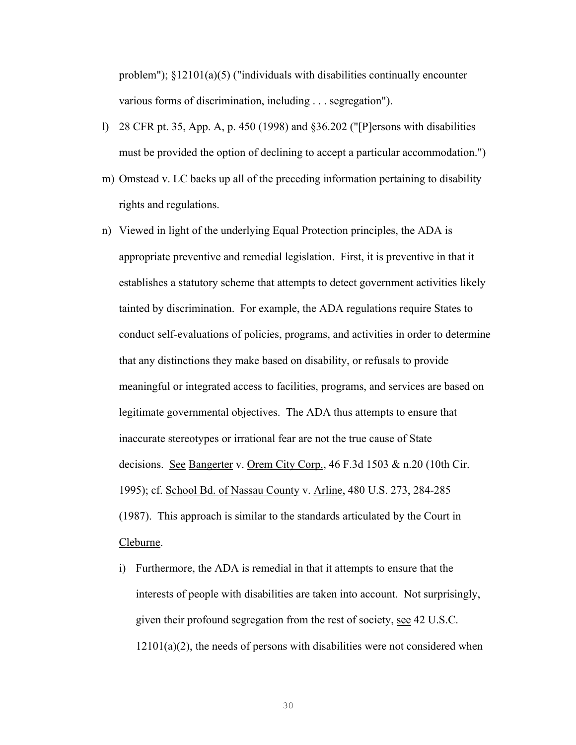problem");  $\S 12101(a)(5)$  ("individuals with disabilities continually encounter various forms of discrimination, including . . . segregation").

- l) 28 CFR pt. 35, App. A, p. 450 (1998) and §36.202 ("[P]ersons with disabilities must be provided the option of declining to accept a particular accommodation.")
- m) Omstead v. LC backs up all of the preceding information pertaining to disability rights and regulations.
- n) Viewed in light of the underlying Equal Protection principles, the ADA is appropriate preventive and remedial legislation. First, it is preventive in that it establishes a statutory scheme that attempts to detect government activities likely tainted by discrimination. For example, the ADA regulations require States to conduct self-evaluations of policies, programs, and activities in order to determine that any distinctions they make based on disability, or refusals to provide meaningful or integrated access to facilities, programs, and services are based on legitimate governmental objectives. The ADA thus attempts to ensure that inaccurate stereotypes or irrational fear are not the true cause of State decisions. See Bangerter v. Orem City Corp., 46 F.3d 1503 & n.20 (10th Cir. 1995); cf. School Bd. of Nassau County v. Arline, 480 U.S. 273, 284-285 (1987). This approach is similar to the standards articulated by the Court in Cleburne.
	- i) Furthermore, the ADA is remedial in that it attempts to ensure that the interests of people with disabilities are taken into account. Not surprisingly, given their profound segregation from the rest of society, see 42 U.S.C.  $12101(a)(2)$ , the needs of persons with disabilities were not considered when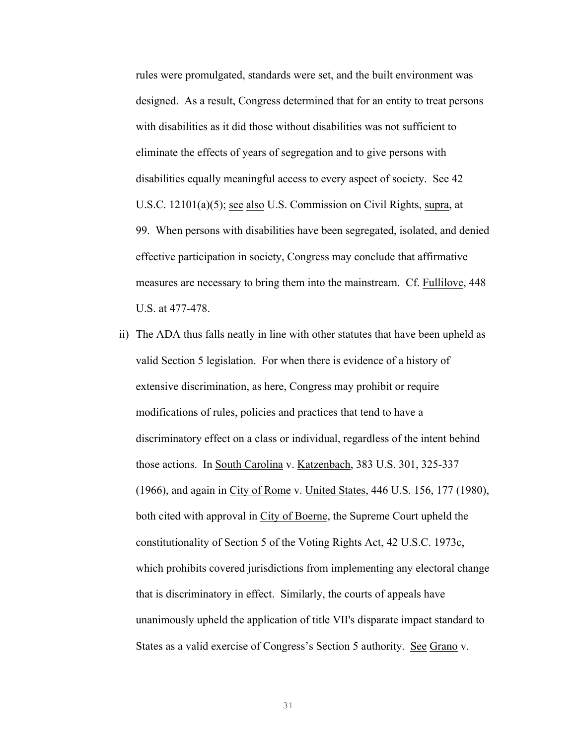rules were promulgated, standards were set, and the built environment was designed. As a result, Congress determined that for an entity to treat persons with disabilities as it did those without disabilities was not sufficient to eliminate the effects of years of segregation and to give persons with disabilities equally meaningful access to every aspect of society. See 42 U.S.C. 12101(a)(5); see also U.S. Commission on Civil Rights, supra, at 99. When persons with disabilities have been segregated, isolated, and denied effective participation in society, Congress may conclude that affirmative measures are necessary to bring them into the mainstream. Cf. Fullilove, 448 U.S. at 477-478.

ii) The ADA thus falls neatly in line with other statutes that have been upheld as valid Section 5 legislation. For when there is evidence of a history of extensive discrimination, as here, Congress may prohibit or require modifications of rules, policies and practices that tend to have a discriminatory effect on a class or individual, regardless of the intent behind those actions. In South Carolina v. Katzenbach, 383 U.S. 301, 325-337 (1966), and again in City of Rome v. United States, 446 U.S. 156, 177 (1980), both cited with approval in City of Boerne, the Supreme Court upheld the constitutionality of Section 5 of the Voting Rights Act, 42 U.S.C. 1973c, which prohibits covered jurisdictions from implementing any electoral change that is discriminatory in effect. Similarly, the courts of appeals have unanimously upheld the application of title VII's disparate impact standard to States as a valid exercise of Congress's Section 5 authority. See Grano v.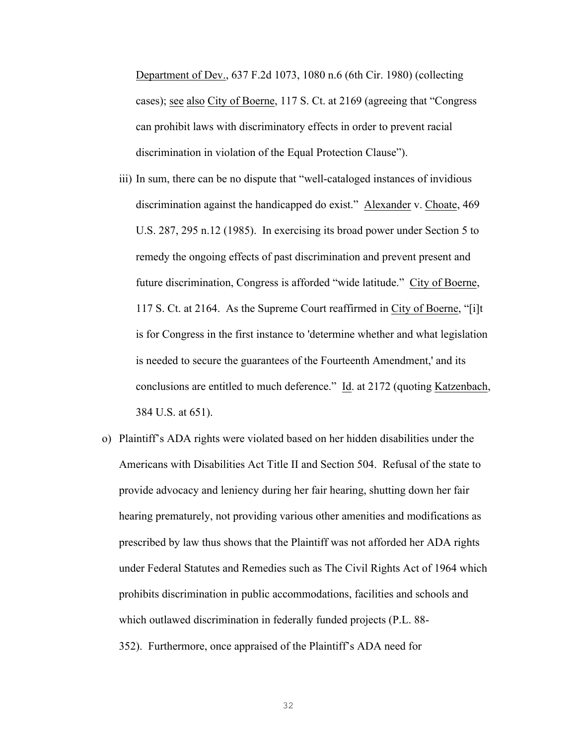Department of Dev., 637 F.2d 1073, 1080 n.6 (6th Cir. 1980) (collecting cases); see also City of Boerne, 117 S. Ct. at 2169 (agreeing that "Congress can prohibit laws with discriminatory effects in order to prevent racial discrimination in violation of the Equal Protection Clause").

- iii) In sum, there can be no dispute that "well-cataloged instances of invidious discrimination against the handicapped do exist." Alexander v. Choate, 469 U.S. 287, 295 n.12 (1985). In exercising its broad power under Section 5 to remedy the ongoing effects of past discrimination and prevent present and future discrimination, Congress is afforded "wide latitude." City of Boerne, 117 S. Ct. at 2164. As the Supreme Court reaffirmed in City of Boerne, "[i]t is for Congress in the first instance to 'determine whether and what legislation is needed to secure the guarantees of the Fourteenth Amendment,' and its conclusions are entitled to much deference." Id. at 2172 (quoting Katzenbach, 384 U.S. at 651).
- o) Plaintiff's ADA rights were violated based on her hidden disabilities under the Americans with Disabilities Act Title II and Section 504. Refusal of the state to provide advocacy and leniency during her fair hearing, shutting down her fair hearing prematurely, not providing various other amenities and modifications as prescribed by law thus shows that the Plaintiff was not afforded her ADA rights under Federal Statutes and Remedies such as The Civil Rights Act of 1964 which prohibits discrimination in public accommodations, facilities and schools and which outlawed discrimination in federally funded projects (P.L. 88- 352). Furthermore, once appraised of the Plaintiff's ADA need for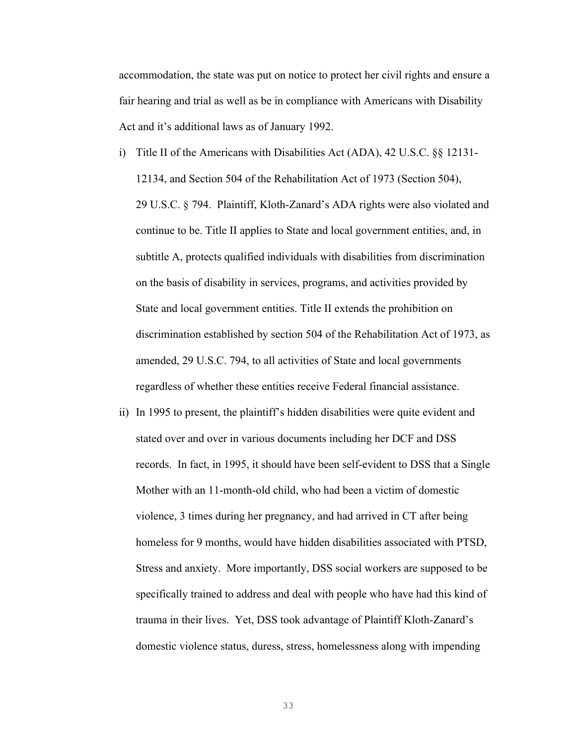accommodation, the state was put on notice to protect her civil rights and ensure a fair hearing and trial as well as be in compliance with Americans with Disability Act and it's additional laws as of January 1992.

- i) Title II of the Americans with Disabilities Act (ADA), 42 U.S.C. §§ 12131- 12134, and Section 504 of the Rehabilitation Act of 1973 (Section 504), 29 U.S.C. § 794. Plaintiff, Kloth-Zanard's ADA rights were also violated and continue to be. Title II applies to State and local government entities, and, in subtitle A, protects qualified individuals with disabilities from discrimination on the basis of disability in services, programs, and activities provided by State and local government entities. Title II extends the prohibition on discrimination established by section 504 of the Rehabilitation Act of 1973, as amended, 29 U.S.C. 794, to all activities of State and local governments regardless of whether these entities receive Federal financial assistance.
- ii) In 1995 to present, the plaintiff's hidden disabilities were quite evident and stated over and over in various documents including her DCF and DSS records. In fact, in 1995, it should have been self-evident to DSS that a Single Mother with an 11-month-old child, who had been a victim of domestic violence, 3 times during her pregnancy, and had arrived in CT after being homeless for 9 months, would have hidden disabilities associated with PTSD, Stress and anxiety. More importantly, DSS social workers are supposed to be specifically trained to address and deal with people who have had this kind of trauma in their lives. Yet, DSS took advantage of Plaintiff Kloth-Zanard's domestic violence status, duress, stress, homelessness along with impending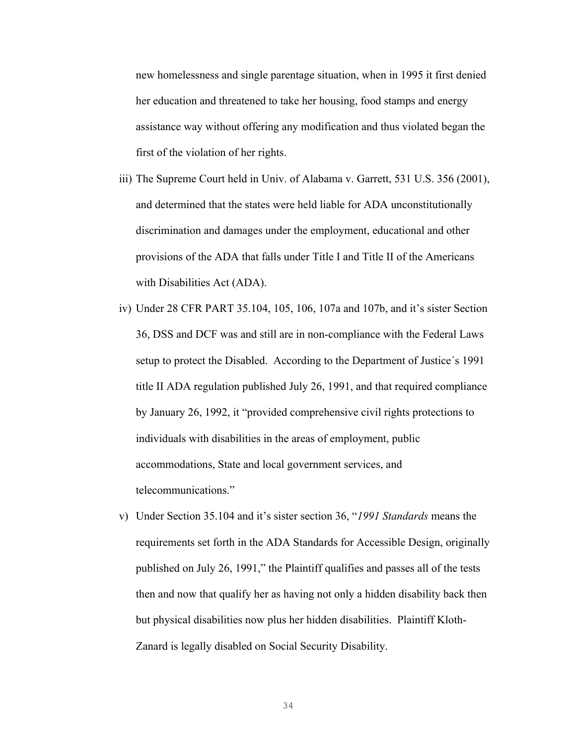new homelessness and single parentage situation, when in 1995 it first denied her education and threatened to take her housing, food stamps and energy assistance way without offering any modification and thus violated began the first of the violation of her rights.

- iii) The Supreme Court held in Univ. of Alabama v. Garrett, 531 U.S. 356 (2001), and determined that the states were held liable for ADA unconstitutionally discrimination and damages under the employment, educational and other provisions of the ADA that falls under Title I and Title II of the Americans with Disabilities Act (ADA).
- iv) Under 28 CFR PART 35.104, 105, 106, 107a and 107b, and it's sister Section 36, DSS and DCF was and still are in non-compliance with the Federal Laws setup to protect the Disabled. According to the Department of Justice´s 1991 title II ADA regulation published July 26, 1991, and that required compliance by January 26, 1992, it "provided comprehensive civil rights protections to individuals with disabilities in the areas of employment, public accommodations, State and local government services, and telecommunications."
- v) Under Section 35.104 and it's sister section 36, "*1991 Standards* means the requirements set forth in the ADA Standards for Accessible Design, originally published on July 26, 1991," the Plaintiff qualifies and passes all of the tests then and now that qualify her as having not only a hidden disability back then but physical disabilities now plus her hidden disabilities. Plaintiff Kloth-Zanard is legally disabled on Social Security Disability.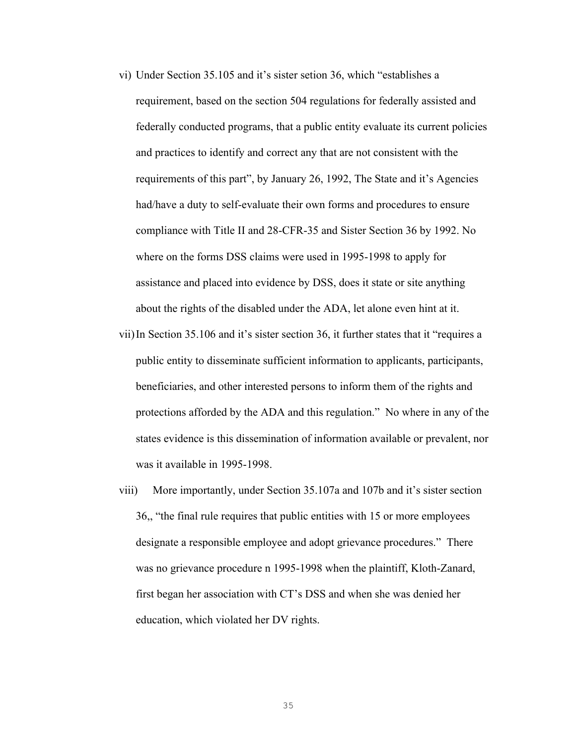- vi) Under Section 35.105 and it's sister setion 36, which "establishes a requirement, based on the section 504 regulations for federally assisted and federally conducted programs, that a public entity evaluate its current policies and practices to identify and correct any that are not consistent with the requirements of this part", by January 26, 1992, The State and it's Agencies had/have a duty to self-evaluate their own forms and procedures to ensure compliance with Title II and 28-CFR-35 and Sister Section 36 by 1992. No where on the forms DSS claims were used in 1995-1998 to apply for assistance and placed into evidence by DSS, does it state or site anything about the rights of the disabled under the ADA, let alone even hint at it.
- vii)In Section 35.106 and it's sister section 36, it further states that it "requires a public entity to disseminate sufficient information to applicants, participants, beneficiaries, and other interested persons to inform them of the rights and protections afforded by the ADA and this regulation." No where in any of the states evidence is this dissemination of information available or prevalent, nor was it available in 1995-1998.
- viii) More importantly, under Section 35.107a and 107b and it's sister section 36,, "the final rule requires that public entities with 15 or more employees designate a responsible employee and adopt grievance procedures." There was no grievance procedure n 1995-1998 when the plaintiff, Kloth-Zanard, first began her association with CT's DSS and when she was denied her education, which violated her DV rights.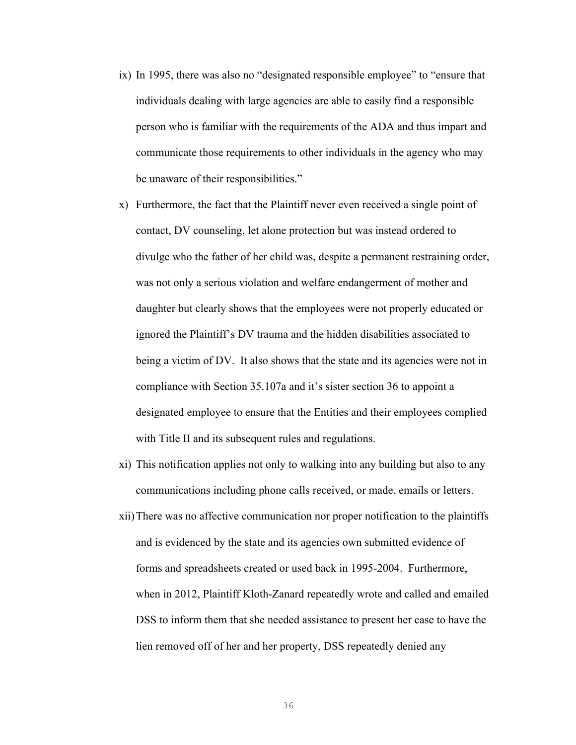- ix) In 1995, there was also no "designated responsible employee" to "ensure that individuals dealing with large agencies are able to easily find a responsible person who is familiar with the requirements of the ADA and thus impart and communicate those requirements to other individuals in the agency who may be unaware of their responsibilities."
- x) Furthermore, the fact that the Plaintiff never even received a single point of contact, DV counseling, let alone protection but was instead ordered to divulge who the father of her child was, despite a permanent restraining order, was not only a serious violation and welfare endangerment of mother and daughter but clearly shows that the employees were not properly educated or ignored the Plaintiff's DV trauma and the hidden disabilities associated to being a victim of DV. It also shows that the state and its agencies were not in compliance with Section 35.107a and it's sister section 36 to appoint a designated employee to ensure that the Entities and their employees complied with Title II and its subsequent rules and regulations.
- xi) This notification applies not only to walking into any building but also to any communications including phone calls received, or made, emails or letters.
- xii)There was no affective communication nor proper notification to the plaintiffs and is evidenced by the state and its agencies own submitted evidence of forms and spreadsheets created or used back in 1995-2004. Furthermore, when in 2012, Plaintiff Kloth-Zanard repeatedly wrote and called and emailed DSS to inform them that she needed assistance to present her case to have the lien removed off of her and her property, DSS repeatedly denied any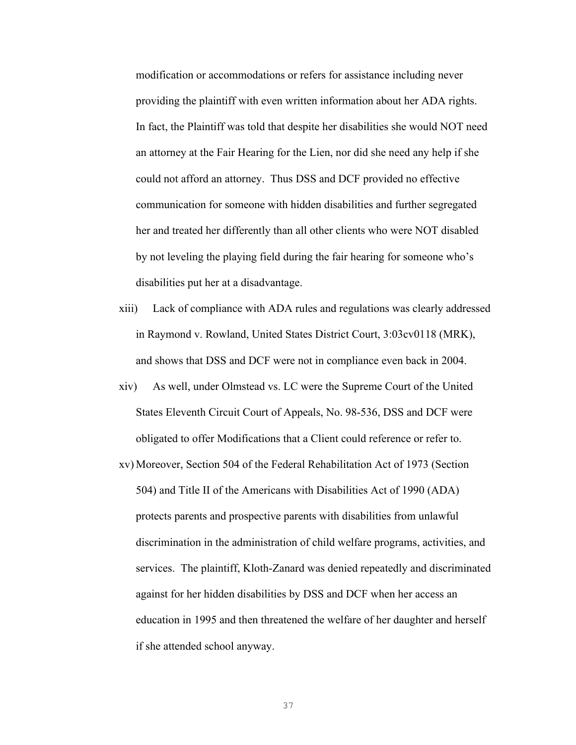modification or accommodations or refers for assistance including never providing the plaintiff with even written information about her ADA rights. In fact, the Plaintiff was told that despite her disabilities she would NOT need an attorney at the Fair Hearing for the Lien, nor did she need any help if she could not afford an attorney. Thus DSS and DCF provided no effective communication for someone with hidden disabilities and further segregated her and treated her differently than all other clients who were NOT disabled by not leveling the playing field during the fair hearing for someone who's disabilities put her at a disadvantage.

- xiii) Lack of compliance with ADA rules and regulations was clearly addressed in Raymond v. Rowland, United States District Court, 3:03cv0118 (MRK), and shows that DSS and DCF were not in compliance even back in 2004.
- xiv) As well, under Olmstead vs. LC were the Supreme Court of the United States Eleventh Circuit Court of Appeals, No. 98-536, DSS and DCF were obligated to offer Modifications that a Client could reference or refer to.
- xv) Moreover, Section 504 of the Federal Rehabilitation Act of 1973 (Section 504) and Title II of the Americans with Disabilities Act of 1990 (ADA) protects parents and prospective parents with disabilities from unlawful discrimination in the administration of child welfare programs, activities, and services. The plaintiff, Kloth-Zanard was denied repeatedly and discriminated against for her hidden disabilities by DSS and DCF when her access an education in 1995 and then threatened the welfare of her daughter and herself if she attended school anyway.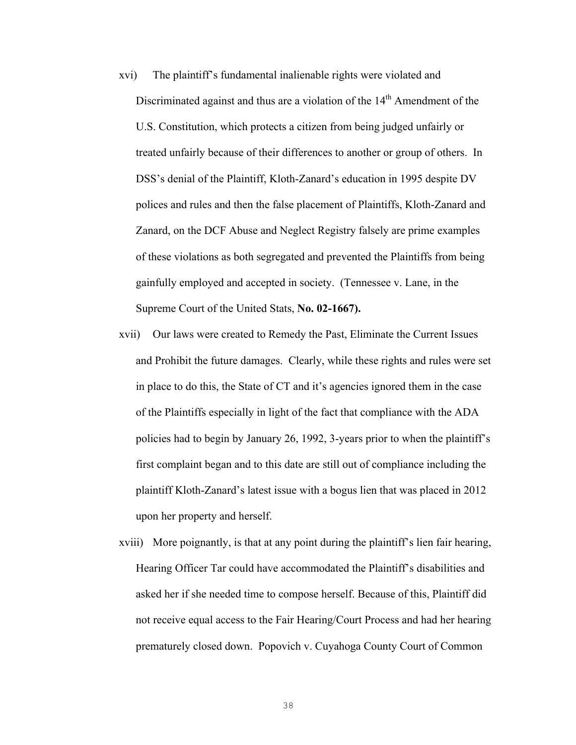- xvi) The plaintiff's fundamental inalienable rights were violated and Discriminated against and thus are a violation of the  $14<sup>th</sup>$  Amendment of the U.S. Constitution, which protects a citizen from being judged unfairly or treated unfairly because of their differences to another or group of others. In DSS's denial of the Plaintiff, Kloth-Zanard's education in 1995 despite DV polices and rules and then the false placement of Plaintiffs, Kloth-Zanard and Zanard, on the DCF Abuse and Neglect Registry falsely are prime examples of these violations as both segregated and prevented the Plaintiffs from being gainfully employed and accepted in society. (Tennessee v. Lane, in the Supreme Court of the United Stats, **No. 02-1667).**
- xvii) Our laws were created to Remedy the Past, Eliminate the Current Issues and Prohibit the future damages. Clearly, while these rights and rules were set in place to do this, the State of CT and it's agencies ignored them in the case of the Plaintiffs especially in light of the fact that compliance with the ADA policies had to begin by January 26, 1992, 3-years prior to when the plaintiff's first complaint began and to this date are still out of compliance including the plaintiff Kloth-Zanard's latest issue with a bogus lien that was placed in 2012 upon her property and herself.
- xviii) More poignantly, is that at any point during the plaintiff's lien fair hearing, Hearing Officer Tar could have accommodated the Plaintiff's disabilities and asked her if she needed time to compose herself. Because of this, Plaintiff did not receive equal access to the Fair Hearing/Court Process and had her hearing prematurely closed down. Popovich v. Cuyahoga County Court of Common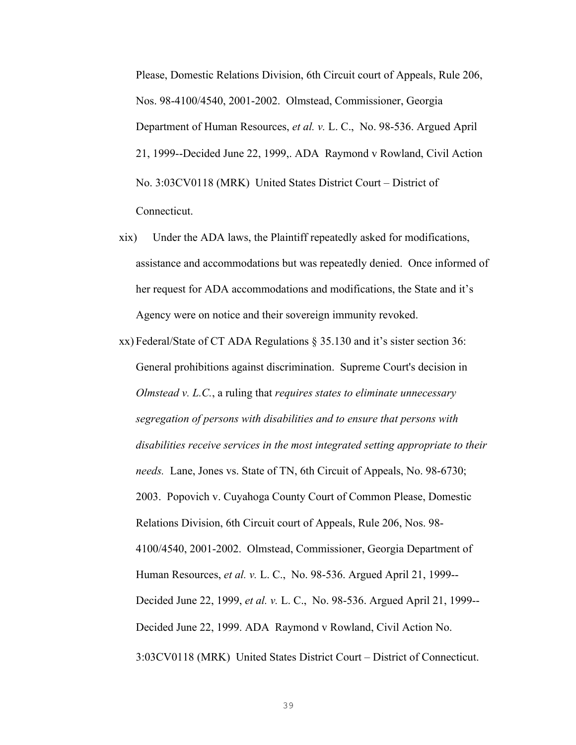Please, Domestic Relations Division, 6th Circuit court of Appeals, Rule 206, Nos. 98-4100/4540, 2001-2002. Olmstead, Commissioner, Georgia Department of Human Resources, *et al. v.* L. C., No. 98-536. Argued April 21, 1999--Decided June 22, 1999,. ADA Raymond v Rowland, Civil Action No. 3:03CV0118 (MRK) United States District Court – District of Connecticut.

- xix) Under the ADA laws, the Plaintiff repeatedly asked for modifications, assistance and accommodations but was repeatedly denied. Once informed of her request for ADA accommodations and modifications, the State and it's Agency were on notice and their sovereign immunity revoked.
- xx) Federal/State of CT ADA Regulations § 35.130 and it's sister section 36: General prohibitions against discrimination. Supreme Court's decision in *Olmstead v. L.C.*, a ruling that *requires states to eliminate unnecessary segregation of persons with disabilities and to ensure that persons with disabilities receive services in the most integrated setting appropriate to their needs.* Lane, Jones vs. State of TN, 6th Circuit of Appeals, No. 98-6730; 2003. Popovich v. Cuyahoga County Court of Common Please, Domestic Relations Division, 6th Circuit court of Appeals, Rule 206, Nos. 98- 4100/4540, 2001-2002. Olmstead, Commissioner, Georgia Department of Human Resources, *et al. v.* L. C., No. 98-536. Argued April 21, 1999-- Decided June 22, 1999, *et al. v.* L. C., No. 98-536. Argued April 21, 1999-- Decided June 22, 1999. ADA Raymond v Rowland, Civil Action No. 3:03CV0118 (MRK) United States District Court – District of Connecticut.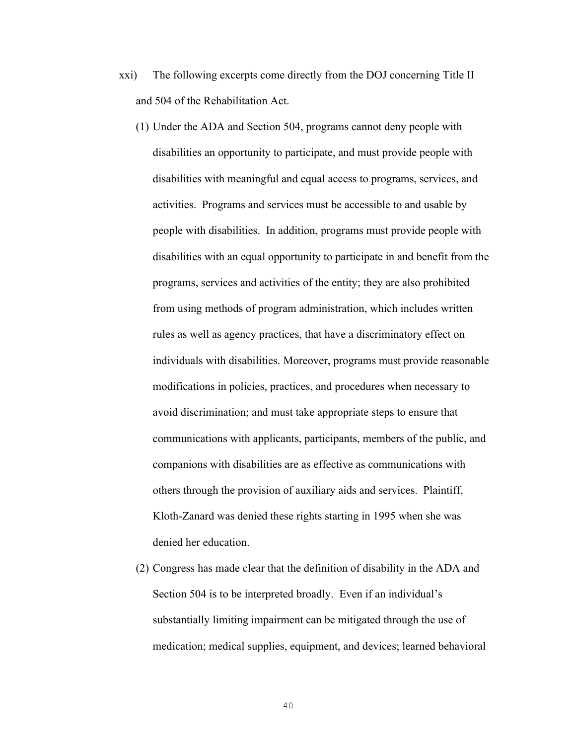- xxi) The following excerpts come directly from the DOJ concerning Title II and 504 of the Rehabilitation Act.
	- (1) Under the ADA and Section 504, programs cannot deny people with disabilities an opportunity to participate, and must provide people with disabilities with meaningful and equal access to programs, services, and activities. Programs and services must be accessible to and usable by people with disabilities. In addition, programs must provide people with disabilities with an equal opportunity to participate in and benefit from the programs, services and activities of the entity; they are also prohibited from using methods of program administration, which includes written rules as well as agency practices, that have a discriminatory effect on individuals with disabilities. Moreover, programs must provide reasonable modifications in policies, practices, and procedures when necessary to avoid discrimination; and must take appropriate steps to ensure that communications with applicants, participants, members of the public, and companions with disabilities are as effective as communications with others through the provision of auxiliary aids and services. Plaintiff, Kloth-Zanard was denied these rights starting in 1995 when she was denied her education.
	- (2) Congress has made clear that the definition of disability in the ADA and Section 504 is to be interpreted broadly. Even if an individual's substantially limiting impairment can be mitigated through the use of medication; medical supplies, equipment, and devices; learned behavioral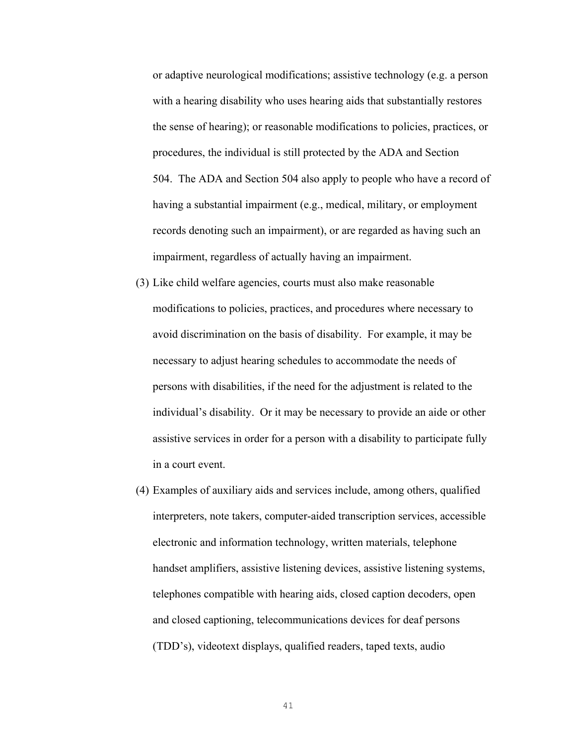or adaptive neurological modifications; assistive technology (e.g. a person with a hearing disability who uses hearing aids that substantially restores the sense of hearing); or reasonable modifications to policies, practices, or procedures, the individual is still protected by the ADA and Section 504. The ADA and Section 504 also apply to people who have a record of having a substantial impairment (e.g., medical, military, or employment records denoting such an impairment), or are regarded as having such an impairment, regardless of actually having an impairment.

- (3) Like child welfare agencies, courts must also make reasonable modifications to policies, practices, and procedures where necessary to avoid discrimination on the basis of disability. For example, it may be necessary to adjust hearing schedules to accommodate the needs of persons with disabilities, if the need for the adjustment is related to the individual's disability. Or it may be necessary to provide an aide or other assistive services in order for a person with a disability to participate fully in a court event.
- (4) Examples of auxiliary aids and services include, among others, qualified interpreters, note takers, computer-aided transcription services, accessible electronic and information technology, written materials, telephone handset amplifiers, assistive listening devices, assistive listening systems, telephones compatible with hearing aids, closed caption decoders, open and closed captioning, telecommunications devices for deaf persons (TDD's), videotext displays, qualified readers, taped texts, audio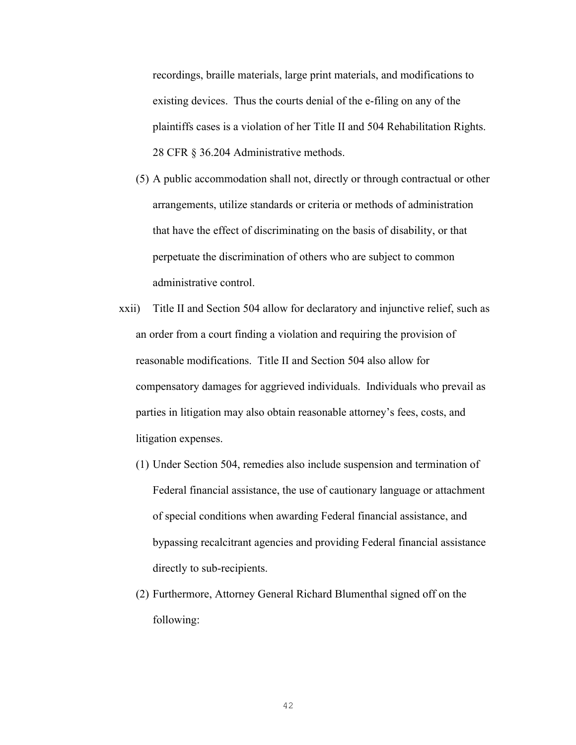recordings, braille materials, large print materials, and modifications to existing devices. Thus the courts denial of the e-filing on any of the plaintiffs cases is a violation of her Title II and 504 Rehabilitation Rights. 28 CFR § 36.204 Administrative methods.

- (5) A public accommodation shall not, directly or through contractual or other arrangements, utilize standards or criteria or methods of administration that have the effect of discriminating on the basis of disability, or that perpetuate the discrimination of others who are subject to common administrative control.
- xxii) Title II and Section 504 allow for declaratory and injunctive relief, such as an order from a court finding a violation and requiring the provision of reasonable modifications. Title II and Section 504 also allow for compensatory damages for aggrieved individuals. Individuals who prevail as parties in litigation may also obtain reasonable attorney's fees, costs, and litigation expenses.
	- (1) Under Section 504, remedies also include suspension and termination of Federal financial assistance, the use of cautionary language or attachment of special conditions when awarding Federal financial assistance, and bypassing recalcitrant agencies and providing Federal financial assistance directly to sub-recipients.
	- (2) Furthermore, Attorney General Richard Blumenthal signed off on the following: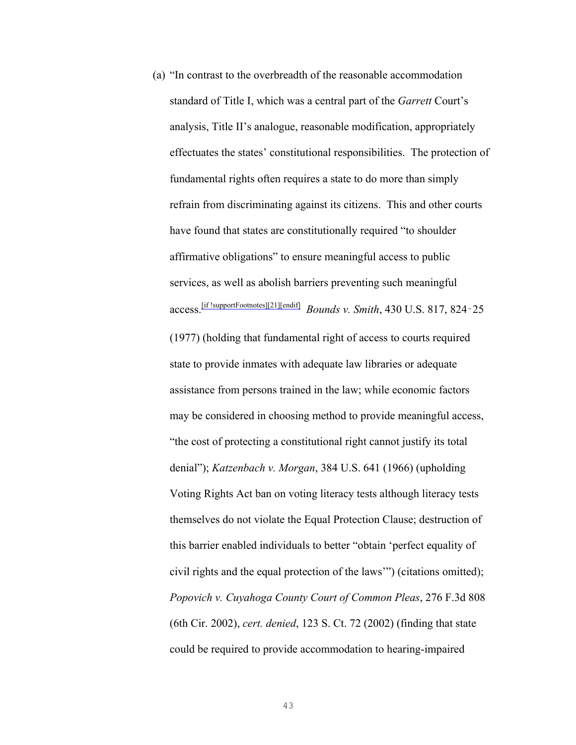(a) "In contrast to the overbreadth of the reasonable accommodation standard of Title I, which was a central part of the *Garrett* Court's analysis, Title II's analogue, reasonable modification, appropriately effectuates the states' constitutional responsibilities. The protection of fundamental rights often requires a state to do more than simply refrain from discriminating against its citizens. This and other courts have found that states are constitutionally required "to shoulder affirmative obligations" to ensure meaningful access to public services, as well as abolish barriers preventing such meaningful access.[if !supportFootnotes][21][endif] *Bounds v. Smith*, 430 U.S. 817, 824‑25 (1977) (holding that fundamental right of access to courts required state to provide inmates with adequate law libraries or adequate assistance from persons trained in the law; while economic factors may be considered in choosing method to provide meaningful access, "the cost of protecting a constitutional right cannot justify its total denial"); *Katzenbach v. Morgan*, 384 U.S. 641 (1966) (upholding Voting Rights Act ban on voting literacy tests although literacy tests themselves do not violate the Equal Protection Clause; destruction of this barrier enabled individuals to better "obtain 'perfect equality of civil rights and the equal protection of the laws'") (citations omitted); *Popovich v. Cuyahoga County Court of Common Pleas*, 276 F.3d 808 (6th Cir. 2002), *cert. denied*, 123 S. Ct. 72 (2002) (finding that state could be required to provide accommodation to hearing-impaired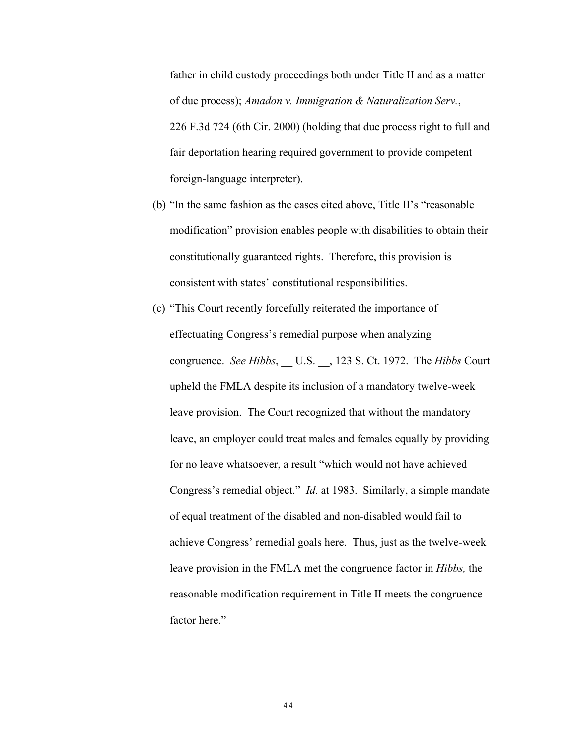father in child custody proceedings both under Title II and as a matter of due process); *Amadon v. Immigration & Naturalization Serv.*, 226 F.3d 724 (6th Cir. 2000) (holding that due process right to full and fair deportation hearing required government to provide competent foreign-language interpreter).

- (b) "In the same fashion as the cases cited above, Title II's "reasonable modification" provision enables people with disabilities to obtain their constitutionally guaranteed rights. Therefore, this provision is consistent with states' constitutional responsibilities.
- (c) "This Court recently forcefully reiterated the importance of effectuating Congress's remedial purpose when analyzing congruence. *See Hibbs*, \_\_ U.S. \_\_, 123 S. Ct. 1972. The *Hibbs* Court upheld the FMLA despite its inclusion of a mandatory twelve-week leave provision. The Court recognized that without the mandatory leave, an employer could treat males and females equally by providing for no leave whatsoever, a result "which would not have achieved Congress's remedial object." *Id.* at 1983. Similarly, a simple mandate of equal treatment of the disabled and non-disabled would fail to achieve Congress' remedial goals here. Thus, just as the twelve-week leave provision in the FMLA met the congruence factor in *Hibbs,* the reasonable modification requirement in Title II meets the congruence factor here."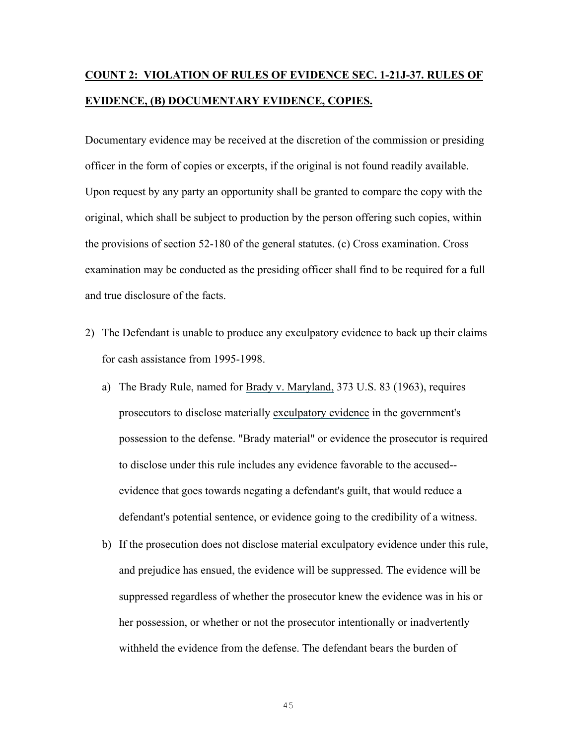### **COUNT 2: VIOLATION OF RULES OF EVIDENCE SEC. 1-21J-37. RULES OF EVIDENCE, (B) DOCUMENTARY EVIDENCE, COPIES.**

Documentary evidence may be received at the discretion of the commission or presiding officer in the form of copies or excerpts, if the original is not found readily available. Upon request by any party an opportunity shall be granted to compare the copy with the original, which shall be subject to production by the person offering such copies, within the provisions of section 52-180 of the general statutes. (c) Cross examination. Cross examination may be conducted as the presiding officer shall find to be required for a full and true disclosure of the facts.

- 2) The Defendant is unable to produce any exculpatory evidence to back up their claims for cash assistance from 1995-1998.
	- a) The Brady Rule, named for Brady v. Maryland, 373 U.S. 83 (1963), requires prosecutors to disclose materially exculpatory evidence in the government's possession to the defense. "Brady material" or evidence the prosecutor is required to disclose under this rule includes any evidence favorable to the accused- evidence that goes towards negating a defendant's guilt, that would reduce a defendant's potential sentence, or evidence going to the credibility of a witness.
	- b) If the prosecution does not disclose material exculpatory evidence under this rule, and prejudice has ensued, the evidence will be suppressed. The evidence will be suppressed regardless of whether the prosecutor knew the evidence was in his or her possession, or whether or not the prosecutor intentionally or inadvertently withheld the evidence from the defense. The defendant bears the burden of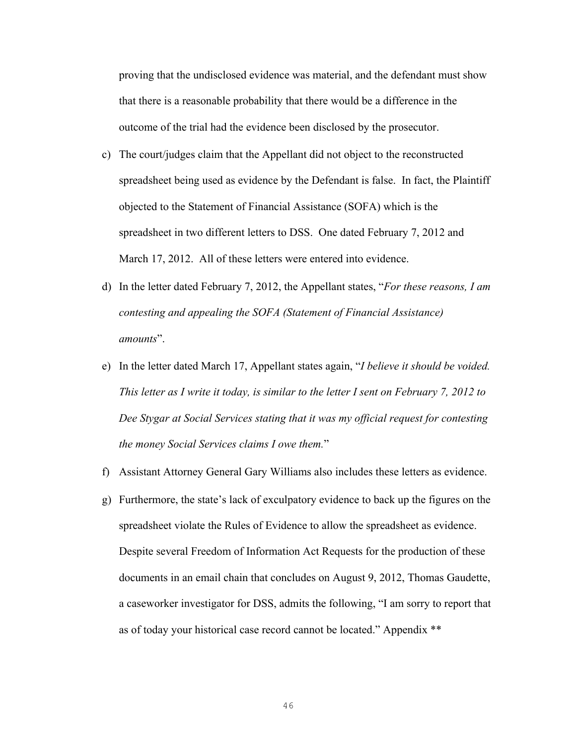proving that the undisclosed evidence was material, and the defendant must show that there is a reasonable probability that there would be a difference in the outcome of the trial had the evidence been disclosed by the prosecutor.

- c) The court/judges claim that the Appellant did not object to the reconstructed spreadsheet being used as evidence by the Defendant is false. In fact, the Plaintiff objected to the Statement of Financial Assistance (SOFA) which is the spreadsheet in two different letters to DSS. One dated February 7, 2012 and March 17, 2012. All of these letters were entered into evidence.
- d) In the letter dated February 7, 2012, the Appellant states, "*For these reasons, I am contesting and appealing the SOFA (Statement of Financial Assistance) amounts*".
- e) In the letter dated March 17, Appellant states again, "*I believe it should be voided. This letter as I write it today, is similar to the letter I sent on February 7, 2012 to Dee Stygar at Social Services stating that it was my official request for contesting the money Social Services claims I owe them.*"
- f) Assistant Attorney General Gary Williams also includes these letters as evidence.
- g) Furthermore, the state's lack of exculpatory evidence to back up the figures on the spreadsheet violate the Rules of Evidence to allow the spreadsheet as evidence. Despite several Freedom of Information Act Requests for the production of these documents in an email chain that concludes on August 9, 2012, Thomas Gaudette, a caseworker investigator for DSS, admits the following, "I am sorry to report that as of today your historical case record cannot be located." Appendix \*\*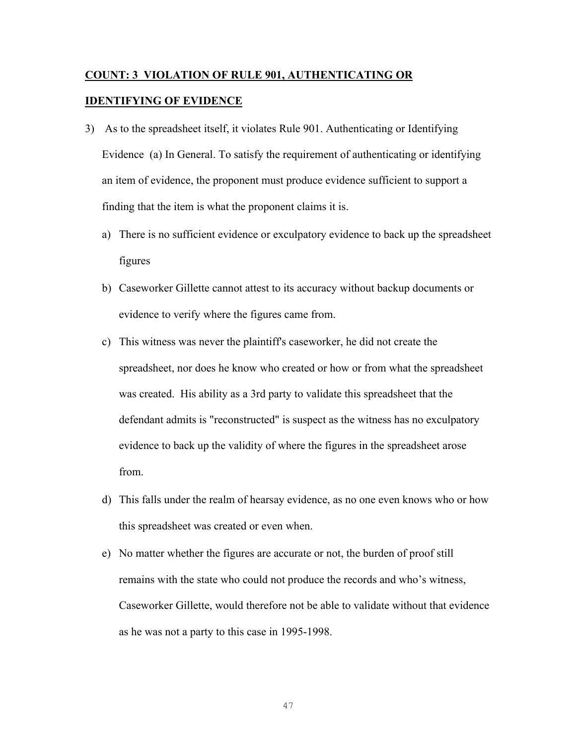### **COUNT: 3 VIOLATION OF RULE 901, AUTHENTICATING OR IDENTIFYING OF EVIDENCE**

- 3) As to the spreadsheet itself, it violates Rule 901. Authenticating or Identifying Evidence (a) In General. To satisfy the requirement of authenticating or identifying an item of evidence, the proponent must produce evidence sufficient to support a finding that the item is what the proponent claims it is.
	- a) There is no sufficient evidence or exculpatory evidence to back up the spreadsheet figures
	- b) Caseworker Gillette cannot attest to its accuracy without backup documents or evidence to verify where the figures came from.
	- c) This witness was never the plaintiff's caseworker, he did not create the spreadsheet, nor does he know who created or how or from what the spreadsheet was created. His ability as a 3rd party to validate this spreadsheet that the defendant admits is "reconstructed" is suspect as the witness has no exculpatory evidence to back up the validity of where the figures in the spreadsheet arose from.
	- d) This falls under the realm of hearsay evidence, as no one even knows who or how this spreadsheet was created or even when.
	- e) No matter whether the figures are accurate or not, the burden of proof still remains with the state who could not produce the records and who's witness, Caseworker Gillette, would therefore not be able to validate without that evidence as he was not a party to this case in 1995-1998.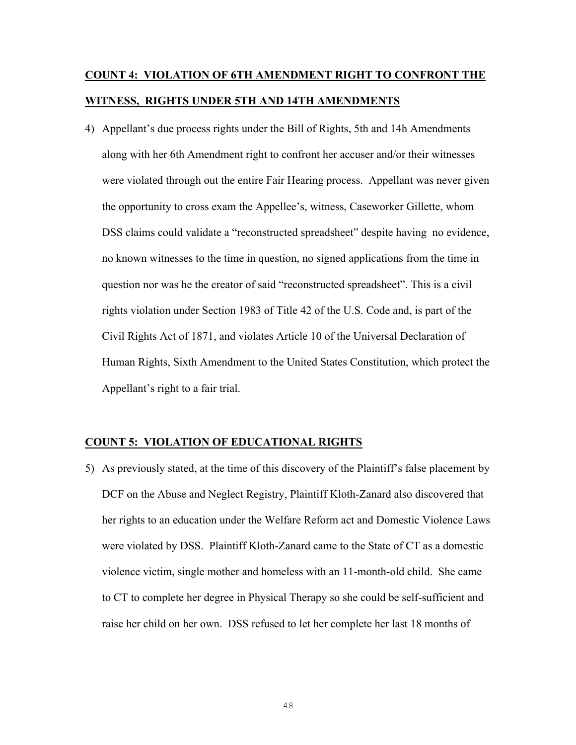### **COUNT 4: VIOLATION OF 6TH AMENDMENT RIGHT TO CONFRONT THE WITNESS, RIGHTS UNDER 5TH AND 14TH AMENDMENTS**

4) Appellant's due process rights under the Bill of Rights, 5th and 14h Amendments along with her 6th Amendment right to confront her accuser and/or their witnesses were violated through out the entire Fair Hearing process. Appellant was never given the opportunity to cross exam the Appellee's, witness, Caseworker Gillette, whom DSS claims could validate a "reconstructed spreadsheet" despite having no evidence, no known witnesses to the time in question, no signed applications from the time in question nor was he the creator of said "reconstructed spreadsheet". This is a civil rights violation under Section 1983 of Title 42 of the U.S. Code and, is part of the Civil Rights Act of 1871, and violates Article 10 of the Universal Declaration of Human Rights, Sixth Amendment to the United States Constitution, which protect the Appellant's right to a fair trial.

### **COUNT 5: VIOLATION OF EDUCATIONAL RIGHTS**

5) As previously stated, at the time of this discovery of the Plaintiff's false placement by DCF on the Abuse and Neglect Registry, Plaintiff Kloth-Zanard also discovered that her rights to an education under the Welfare Reform act and Domestic Violence Laws were violated by DSS. Plaintiff Kloth-Zanard came to the State of CT as a domestic violence victim, single mother and homeless with an 11-month-old child. She came to CT to complete her degree in Physical Therapy so she could be self-sufficient and raise her child on her own. DSS refused to let her complete her last 18 months of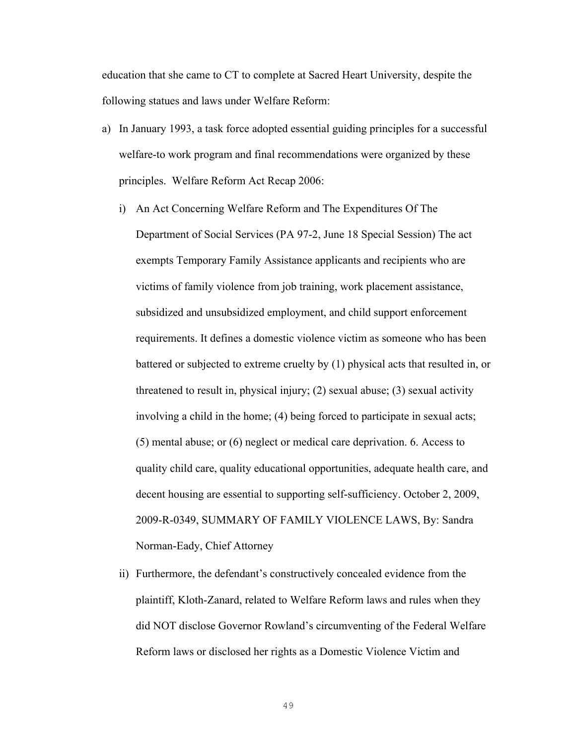education that she came to CT to complete at Sacred Heart University, despite the following statues and laws under Welfare Reform:

- a) In January 1993, a task force adopted essential guiding principles for a successful welfare-to work program and final recommendations were organized by these principles. Welfare Reform Act Recap 2006:
	- i) An Act Concerning Welfare Reform and The Expenditures Of The Department of Social Services (PA 97-2, June 18 Special Session) The act exempts Temporary Family Assistance applicants and recipients who are victims of family violence from job training, work placement assistance, subsidized and unsubsidized employment, and child support enforcement requirements. It defines a domestic violence victim as someone who has been battered or subjected to extreme cruelty by (1) physical acts that resulted in, or threatened to result in, physical injury; (2) sexual abuse; (3) sexual activity involving a child in the home; (4) being forced to participate in sexual acts; (5) mental abuse; or (6) neglect or medical care deprivation. 6. Access to quality child care, quality educational opportunities, adequate health care, and decent housing are essential to supporting self-sufficiency. October 2, 2009, 2009-R-0349, SUMMARY OF FAMILY VIOLENCE LAWS, By: Sandra Norman-Eady, Chief Attorney
	- ii) Furthermore, the defendant's constructively concealed evidence from the plaintiff, Kloth-Zanard, related to Welfare Reform laws and rules when they did NOT disclose Governor Rowland's circumventing of the Federal Welfare Reform laws or disclosed her rights as a Domestic Violence Victim and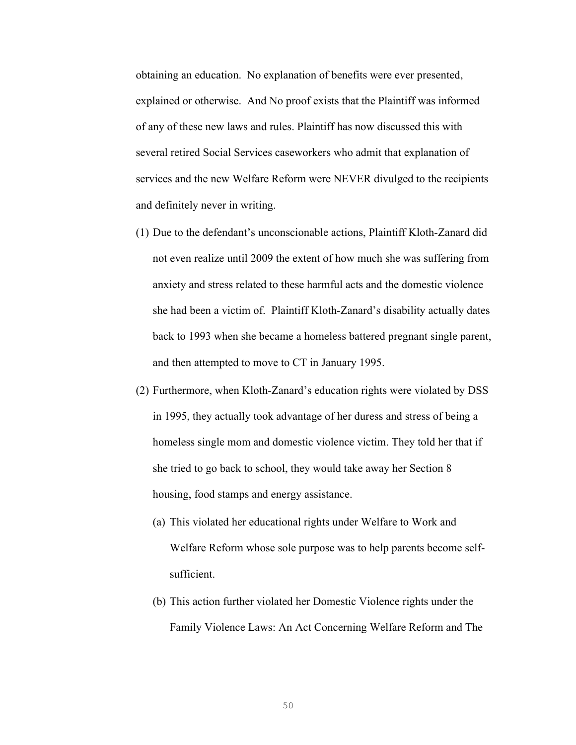obtaining an education. No explanation of benefits were ever presented, explained or otherwise. And No proof exists that the Plaintiff was informed of any of these new laws and rules. Plaintiff has now discussed this with several retired Social Services caseworkers who admit that explanation of services and the new Welfare Reform were NEVER divulged to the recipients and definitely never in writing.

- (1) Due to the defendant's unconscionable actions, Plaintiff Kloth-Zanard did not even realize until 2009 the extent of how much she was suffering from anxiety and stress related to these harmful acts and the domestic violence she had been a victim of. Plaintiff Kloth-Zanard's disability actually dates back to 1993 when she became a homeless battered pregnant single parent, and then attempted to move to CT in January 1995.
- (2) Furthermore, when Kloth-Zanard's education rights were violated by DSS in 1995, they actually took advantage of her duress and stress of being a homeless single mom and domestic violence victim. They told her that if she tried to go back to school, they would take away her Section 8 housing, food stamps and energy assistance.
	- (a) This violated her educational rights under Welfare to Work and Welfare Reform whose sole purpose was to help parents become selfsufficient.
	- (b) This action further violated her Domestic Violence rights under the Family Violence Laws: An Act Concerning Welfare Reform and The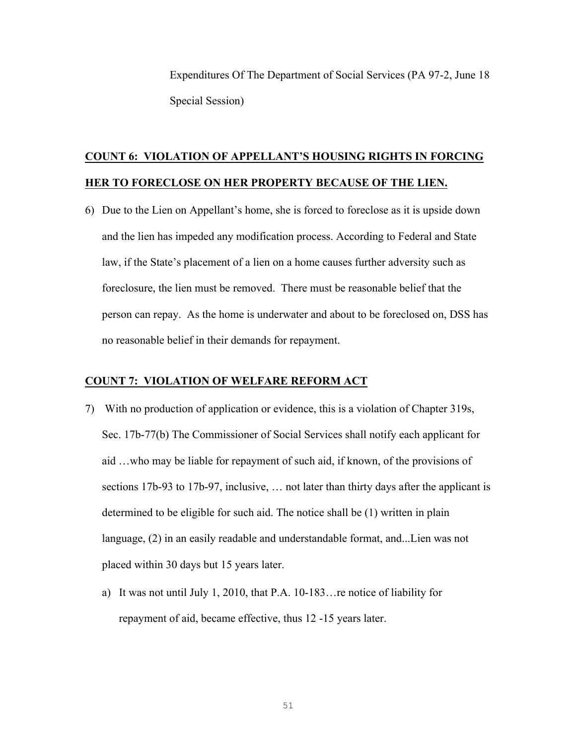Expenditures Of The Department of Social Services (PA 97-2, June 18 Special Session)

### **COUNT 6: VIOLATION OF APPELLANT'S HOUSING RIGHTS IN FORCING HER TO FORECLOSE ON HER PROPERTY BECAUSE OF THE LIEN.**

6) Due to the Lien on Appellant's home, she is forced to foreclose as it is upside down and the lien has impeded any modification process. According to Federal and State law, if the State's placement of a lien on a home causes further adversity such as foreclosure, the lien must be removed. There must be reasonable belief that the person can repay. As the home is underwater and about to be foreclosed on, DSS has no reasonable belief in their demands for repayment.

### **COUNT 7: VIOLATION OF WELFARE REFORM ACT**

- 7) With no production of application or evidence, this is a violation of Chapter 319s, Sec. 17b-77(b) The Commissioner of Social Services shall notify each applicant for aid …who may be liable for repayment of such aid, if known, of the provisions of sections 17b-93 to 17b-97, inclusive, … not later than thirty days after the applicant is determined to be eligible for such aid. The notice shall be (1) written in plain language, (2) in an easily readable and understandable format, and...Lien was not placed within 30 days but 15 years later.
	- a) It was not until July 1, 2010, that P.A. 10-183…re notice of liability for repayment of aid, became effective, thus 12 -15 years later.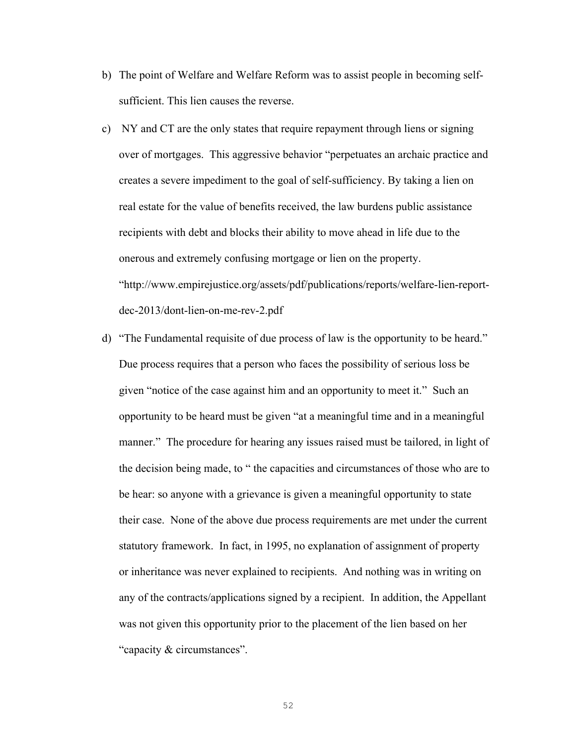- b) The point of Welfare and Welfare Reform was to assist people in becoming selfsufficient. This lien causes the reverse.
- c) NY and CT are the only states that require repayment through liens or signing over of mortgages. This aggressive behavior "perpetuates an archaic practice and creates a severe impediment to the goal of self-sufficiency. By taking a lien on real estate for the value of benefits received, the law burdens public assistance recipients with debt and blocks their ability to move ahead in life due to the onerous and extremely confusing mortgage or lien on the property. "http://www.empirejustice.org/assets/pdf/publications/reports/welfare-lien-reportdec-2013/dont-lien-on-me-rev-2.pdf
- d) "The Fundamental requisite of due process of law is the opportunity to be heard." Due process requires that a person who faces the possibility of serious loss be given "notice of the case against him and an opportunity to meet it." Such an opportunity to be heard must be given "at a meaningful time and in a meaningful manner." The procedure for hearing any issues raised must be tailored, in light of the decision being made, to " the capacities and circumstances of those who are to be hear: so anyone with a grievance is given a meaningful opportunity to state their case. None of the above due process requirements are met under the current statutory framework. In fact, in 1995, no explanation of assignment of property or inheritance was never explained to recipients. And nothing was in writing on any of the contracts/applications signed by a recipient. In addition, the Appellant was not given this opportunity prior to the placement of the lien based on her "capacity & circumstances".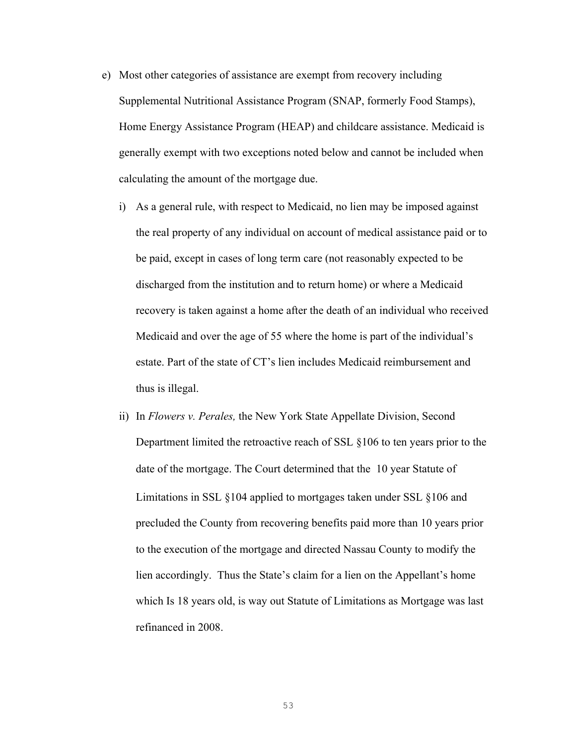- e) Most other categories of assistance are exempt from recovery including Supplemental Nutritional Assistance Program (SNAP, formerly Food Stamps), Home Energy Assistance Program (HEAP) and childcare assistance. Medicaid is generally exempt with two exceptions noted below and cannot be included when calculating the amount of the mortgage due.
	- i) As a general rule, with respect to Medicaid, no lien may be imposed against the real property of any individual on account of medical assistance paid or to be paid, except in cases of long term care (not reasonably expected to be discharged from the institution and to return home) or where a Medicaid recovery is taken against a home after the death of an individual who received Medicaid and over the age of 55 where the home is part of the individual's estate. Part of the state of CT's lien includes Medicaid reimbursement and thus is illegal.
	- ii) In *Flowers v. Perales,* the New York State Appellate Division, Second Department limited the retroactive reach of SSL §106 to ten years prior to the date of the mortgage. The Court determined that the 10 year Statute of Limitations in SSL §104 applied to mortgages taken under SSL §106 and precluded the County from recovering benefits paid more than 10 years prior to the execution of the mortgage and directed Nassau County to modify the lien accordingly. Thus the State's claim for a lien on the Appellant's home which Is 18 years old, is way out Statute of Limitations as Mortgage was last refinanced in 2008.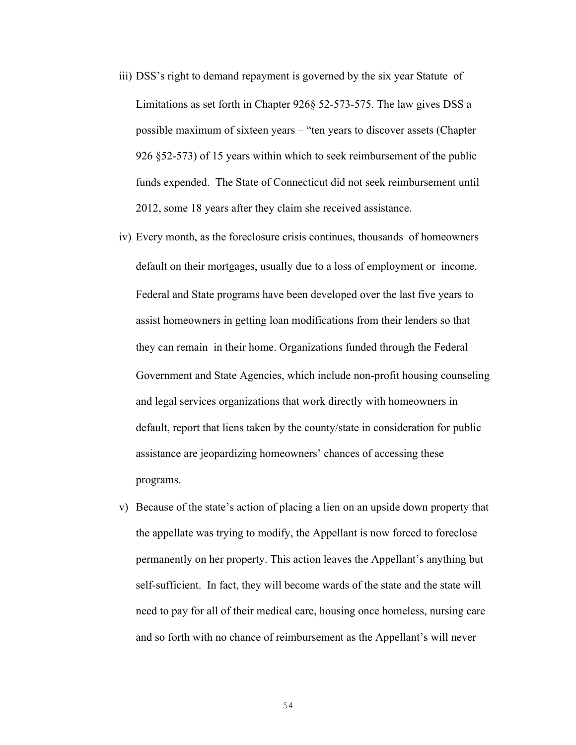- iii) DSS's right to demand repayment is governed by the six year Statute of Limitations as set forth in Chapter 926§ 52-573-575. The law gives DSS a possible maximum of sixteen years – "ten years to discover assets (Chapter 926 §52-573) of 15 years within which to seek reimbursement of the public funds expended. The State of Connecticut did not seek reimbursement until 2012, some 18 years after they claim she received assistance.
- iv) Every month, as the foreclosure crisis continues, thousands of homeowners default on their mortgages, usually due to a loss of employment or income. Federal and State programs have been developed over the last five years to assist homeowners in getting loan modifications from their lenders so that they can remain in their home. Organizations funded through the Federal Government and State Agencies, which include non-profit housing counseling and legal services organizations that work directly with homeowners in default, report that liens taken by the county/state in consideration for public assistance are jeopardizing homeowners' chances of accessing these programs.
- v) Because of the state's action of placing a lien on an upside down property that the appellate was trying to modify, the Appellant is now forced to foreclose permanently on her property. This action leaves the Appellant's anything but self-sufficient. In fact, they will become wards of the state and the state will need to pay for all of their medical care, housing once homeless, nursing care and so forth with no chance of reimbursement as the Appellant's will never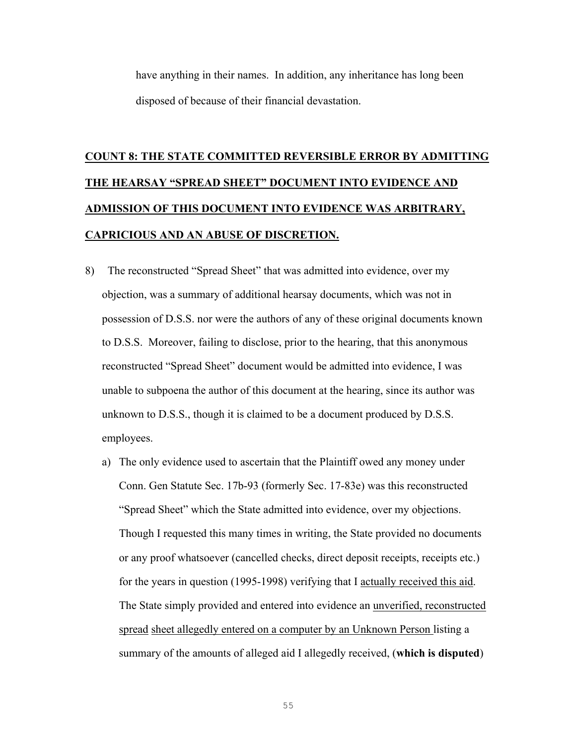have anything in their names. In addition, any inheritance has long been disposed of because of their financial devastation.

## **COUNT 8: THE STATE COMMITTED REVERSIBLE ERROR BY ADMITTING THE HEARSAY "SPREAD SHEET" DOCUMENT INTO EVIDENCE AND ADMISSION OF THIS DOCUMENT INTO EVIDENCE WAS ARBITRARY, CAPRICIOUS AND AN ABUSE OF DISCRETION.**

- 8) The reconstructed "Spread Sheet" that was admitted into evidence, over my objection, was a summary of additional hearsay documents, which was not in possession of D.S.S. nor were the authors of any of these original documents known to D.S.S. Moreover, failing to disclose, prior to the hearing, that this anonymous reconstructed "Spread Sheet" document would be admitted into evidence, I was unable to subpoena the author of this document at the hearing, since its author was unknown to D.S.S., though it is claimed to be a document produced by D.S.S. employees.
	- a) The only evidence used to ascertain that the Plaintiff owed any money under Conn. Gen Statute Sec. 17b-93 (formerly Sec. 17-83e) was this reconstructed "Spread Sheet" which the State admitted into evidence, over my objections. Though I requested this many times in writing, the State provided no documents or any proof whatsoever (cancelled checks, direct deposit receipts, receipts etc.) for the years in question (1995-1998) verifying that I actually received this aid. The State simply provided and entered into evidence an unverified, reconstructed spread sheet allegedly entered on a computer by an Unknown Person listing a summary of the amounts of alleged aid I allegedly received, (**which is disputed**)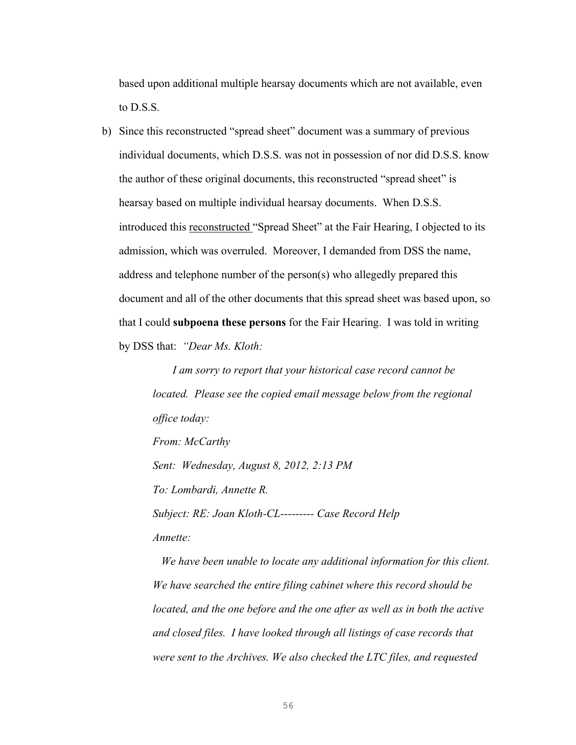based upon additional multiple hearsay documents which are not available, even to D.S.S.

b) Since this reconstructed "spread sheet" document was a summary of previous individual documents, which D.S.S. was not in possession of nor did D.S.S. know the author of these original documents, this reconstructed "spread sheet" is hearsay based on multiple individual hearsay documents. When D.S.S. introduced this reconstructed "Spread Sheet" at the Fair Hearing, I objected to its admission, which was overruled. Moreover, I demanded from DSS the name, address and telephone number of the person(s) who allegedly prepared this document and all of the other documents that this spread sheet was based upon, so that I could **subpoena these persons** for the Fair Hearing. I was told in writing by DSS that: *"Dear Ms. Kloth:* 

> *I am sorry to report that your historical case record cannot be located. Please see the copied email message below from the regional office today:*

*From: McCarthy*

*Sent: Wednesday, August 8, 2012, 2:13 PM*

*To: Lombardi, Annette R.*

*Subject: RE: Joan Kloth-CL--------- Case Record Help*

*Annette:*

 *We have been unable to locate any additional information for this client. We have searched the entire filing cabinet where this record should be located, and the one before and the one after as well as in both the active and closed files. I have looked through all listings of case records that were sent to the Archives. We also checked the LTC files, and requested*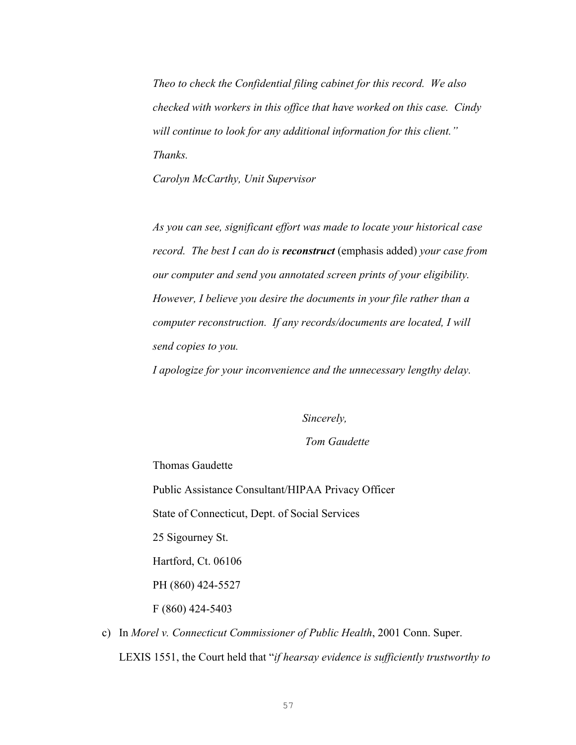*Theo to check the Confidential filing cabinet for this record. We also checked with workers in this office that have worked on this case. Cindy will continue to look for any additional information for this client." Thanks.*

*Carolyn McCarthy, Unit Supervisor*

*As you can see, significant effort was made to locate your historical case record. The best I can do is reconstruct* (emphasis added) *your case from our computer and send you annotated screen prints of your eligibility. However, I believe you desire the documents in your file rather than a computer reconstruction. If any records/documents are located, I will send copies to you.*

*I apologize for your inconvenience and the unnecessary lengthy delay.*

 *Sincerely,*

### *Tom Gaudette*

Thomas Gaudette

Public Assistance Consultant/HIPAA Privacy Officer

State of Connecticut, Dept. of Social Services

25 Sigourney St.

Hartford, Ct. 06106

PH (860) 424-5527

F (860) 424-5403

c) In *Morel v. Connecticut Commissioner of Public Health*, 2001 Conn. Super. LEXIS 1551, the Court held that "*if hearsay evidence is sufficiently trustworthy to*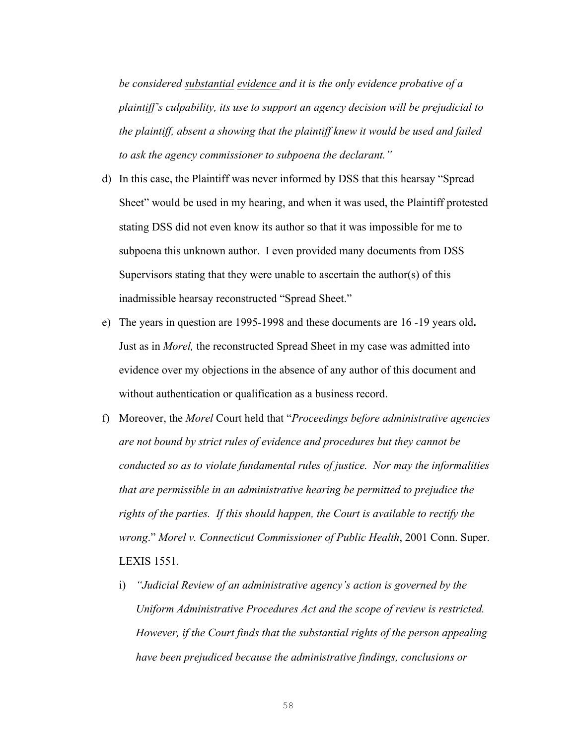*be considered substantial evidence and it is the only evidence probative of a plaintiff's culpability, its use to support an agency decision will be prejudicial to the plaintiff, absent a showing that the plaintiff knew it would be used and failed to ask the agency commissioner to subpoena the declarant."*

- d) In this case, the Plaintiff was never informed by DSS that this hearsay "Spread Sheet" would be used in my hearing, and when it was used, the Plaintiff protested stating DSS did not even know its author so that it was impossible for me to subpoena this unknown author. I even provided many documents from DSS Supervisors stating that they were unable to ascertain the author(s) of this inadmissible hearsay reconstructed "Spread Sheet."
- e) The years in question are 1995-1998 and these documents are 16 -19 years old**.**  Just as in *Morel,* the reconstructed Spread Sheet in my case was admitted into evidence over my objections in the absence of any author of this document and without authentication or qualification as a business record.
- f) Moreover, the *Morel* Court held that "*Proceedings before administrative agencies are not bound by strict rules of evidence and procedures but they cannot be conducted so as to violate fundamental rules of justice. Nor may the informalities that are permissible in an administrative hearing be permitted to prejudice the rights of the parties. If this should happen, the Court is available to rectify the wrong*." *Morel v. Connecticut Commissioner of Public Health*, 2001 Conn. Super. LEXIS 1551.
	- i) *"Judicial Review of an administrative agency's action is governed by the Uniform Administrative Procedures Act and the scope of review is restricted. However, if the Court finds that the substantial rights of the person appealing have been prejudiced because the administrative findings, conclusions or*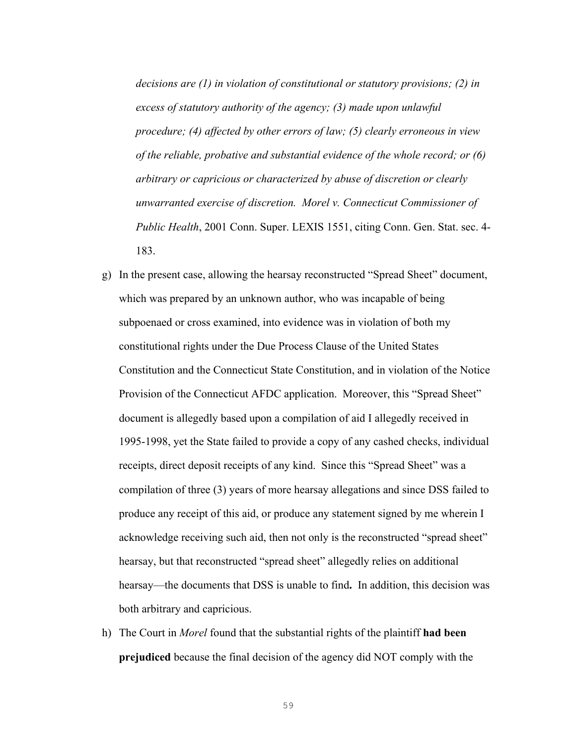*decisions are (1) in violation of constitutional or statutory provisions; (2) in excess of statutory authority of the agency; (3) made upon unlawful procedure; (4) affected by other errors of law; (5) clearly erroneous in view of the reliable, probative and substantial evidence of the whole record; or (6) arbitrary or capricious or characterized by abuse of discretion or clearly unwarranted exercise of discretion. Morel v. Connecticut Commissioner of Public Health*, 2001 Conn. Super. LEXIS 1551, citing Conn. Gen. Stat. sec. 4- 183.

- g) In the present case, allowing the hearsay reconstructed "Spread Sheet" document, which was prepared by an unknown author, who was incapable of being subpoenaed or cross examined, into evidence was in violation of both my constitutional rights under the Due Process Clause of the United States Constitution and the Connecticut State Constitution, and in violation of the Notice Provision of the Connecticut AFDC application. Moreover, this "Spread Sheet" document is allegedly based upon a compilation of aid I allegedly received in 1995-1998, yet the State failed to provide a copy of any cashed checks, individual receipts, direct deposit receipts of any kind. Since this "Spread Sheet" was a compilation of three (3) years of more hearsay allegations and since DSS failed to produce any receipt of this aid, or produce any statement signed by me wherein I acknowledge receiving such aid, then not only is the reconstructed "spread sheet" hearsay, but that reconstructed "spread sheet" allegedly relies on additional hearsay—the documents that DSS is unable to find**.** In addition, this decision was both arbitrary and capricious.
- h) The Court in *Morel* found that the substantial rights of the plaintiff **had been prejudiced** because the final decision of the agency did NOT comply with the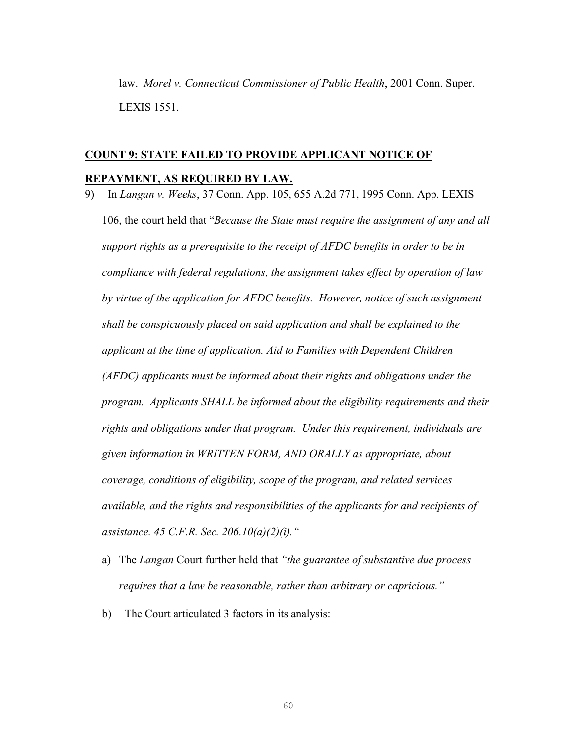law. *Morel v. Connecticut Commissioner of Public Health*, 2001 Conn. Super. LEXIS 1551.

### **COUNT 9: STATE FAILED TO PROVIDE APPLICANT NOTICE OF REPAYMENT, AS REQUIRED BY LAW.**

- 9) In *Langan v. Weeks*, 37 Conn. App. 105, 655 A.2d 771, 1995 Conn. App. LEXIS 106, the court held that "*Because the State must require the assignment of any and all support rights as a prerequisite to the receipt of AFDC benefits in order to be in compliance with federal regulations, the assignment takes effect by operation of law by virtue of the application for AFDC benefits. However, notice of such assignment shall be conspicuously placed on said application and shall be explained to the applicant at the time of application. Aid to Families with Dependent Children (AFDC) applicants must be informed about their rights and obligations under the program. Applicants SHALL be informed about the eligibility requirements and their rights and obligations under that program. Under this requirement, individuals are given information in WRITTEN FORM, AND ORALLY as appropriate, about coverage, conditions of eligibility, scope of the program, and related services available, and the rights and responsibilities of the applicants for and recipients of assistance. 45 C.F.R. Sec. 206.10(a)(2)(i)."*
	- a) The *Langan* Court further held that *"the guarantee of substantive due process requires that a law be reasonable, rather than arbitrary or capricious."*
	- b) The Court articulated 3 factors in its analysis: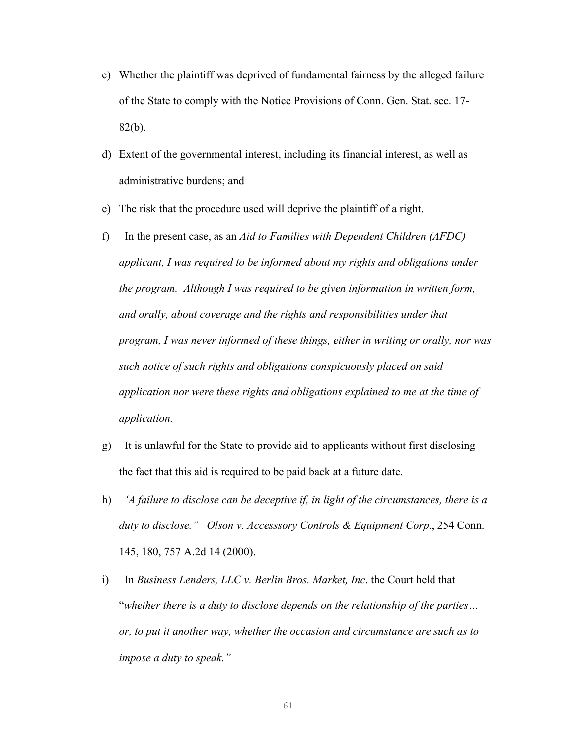- c) Whether the plaintiff was deprived of fundamental fairness by the alleged failure of the State to comply with the Notice Provisions of Conn. Gen. Stat. sec. 17- 82(b).
- d) Extent of the governmental interest, including its financial interest, as well as administrative burdens; and
- e) The risk that the procedure used will deprive the plaintiff of a right.
- f) In the present case, as an *Aid to Families with Dependent Children (AFDC) applicant, I was required to be informed about my rights and obligations under the program. Although I was required to be given information in written form, and orally, about coverage and the rights and responsibilities under that program, I was never informed of these things, either in writing or orally, nor was such notice of such rights and obligations conspicuously placed on said application nor were these rights and obligations explained to me at the time of application.*
- g)It is unlawful for the State to provide aid to applicants without first disclosing the fact that this aid is required to be paid back at a future date.
- h) *'A failure to disclose can be deceptive if, in light of the circumstances, there is a duty to disclose." Olson v. Accesssory Controls & Equipment Corp*., 254 Conn. 145, 180, 757 A.2d 14 (2000).
- i) In *Business Lenders, LLC v. Berlin Bros. Market, Inc*. the Court held that "*whether there is a duty to disclose depends on the relationship of the parties… or, to put it another way, whether the occasion and circumstance are such as to impose a duty to speak."*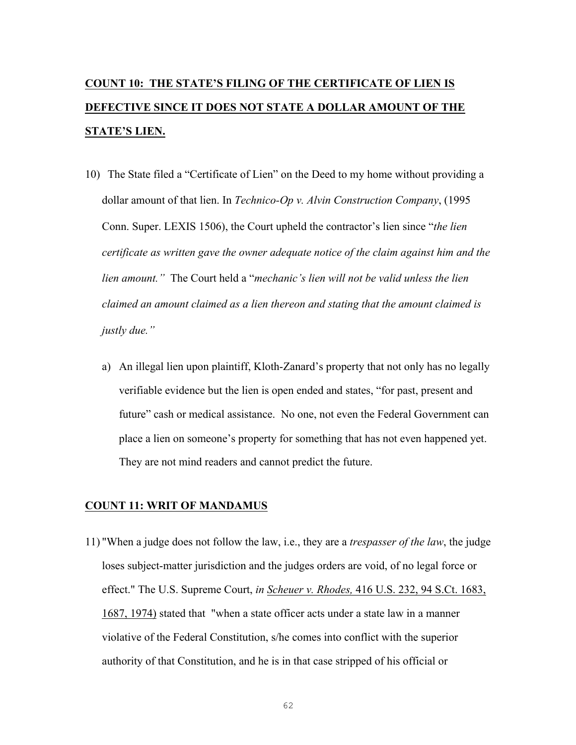### **COUNT 10: THE STATE'S FILING OF THE CERTIFICATE OF LIEN IS DEFECTIVE SINCE IT DOES NOT STATE A DOLLAR AMOUNT OF THE STATE'S LIEN.**

- 10) The State filed a "Certificate of Lien" on the Deed to my home without providing a dollar amount of that lien. In *Technico-Op v. Alvin Construction Company*, (1995 Conn. Super. LEXIS 1506), the Court upheld the contractor's lien since "*the lien certificate as written gave the owner adequate notice of the claim against him and the lien amount."* The Court held a "*mechanic's lien will not be valid unless the lien claimed an amount claimed as a lien thereon and stating that the amount claimed is justly due."*
	- a) An illegal lien upon plaintiff, Kloth-Zanard's property that not only has no legally verifiable evidence but the lien is open ended and states, "for past, present and future" cash or medical assistance. No one, not even the Federal Government can place a lien on someone's property for something that has not even happened yet. They are not mind readers and cannot predict the future.

#### **COUNT 11: WRIT OF MANDAMUS**

11) "When a judge does not follow the law, i.e., they are a *trespasser of the law*, the judge loses subject-matter jurisdiction and the judges orders are void, of no legal force or effect." The U.S. Supreme Court, *in Scheuer v. Rhodes,* 416 U.S. 232, 94 S.Ct. 1683, 1687, 1974) stated that "when a state officer acts under a state law in a manner violative of the Federal Constitution, s/he comes into conflict with the superior authority of that Constitution, and he is in that case stripped of his official or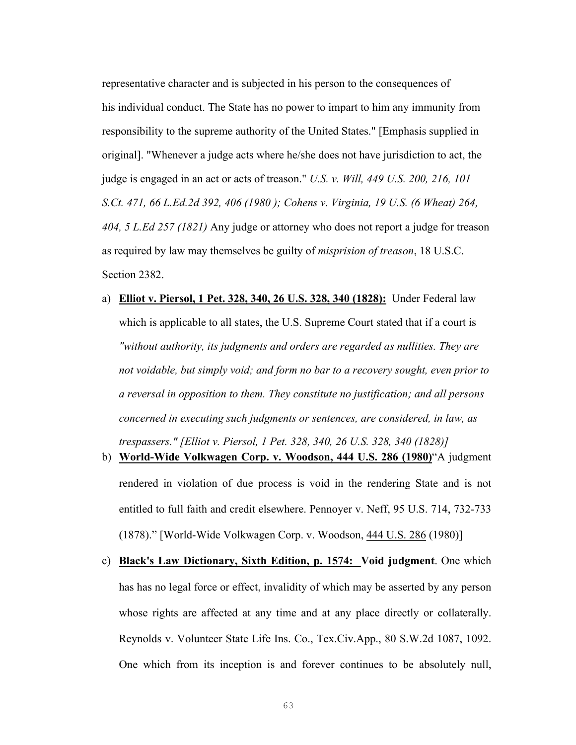representative character and is subjected in his person to the consequences of his individual conduct. The State has no power to impart to him any immunity from responsibility to the supreme authority of the United States." [Emphasis supplied in original]. "Whenever a judge acts where he/she does not have jurisdiction to act, the judge is engaged in an act or acts of treason." *U.S. v. Will, 449 U.S. 200, 216, 101 S.Ct. 471, 66 L.Ed.2d 392, 406 (1980 ); Cohens v. Virginia, 19 U.S. (6 Wheat) 264, 404, 5 L.Ed 257 (1821)* Any judge or attorney who does not report a judge for treason as required by law may themselves be guilty of *misprision of treason*, 18 U.S.C. Section 2382.

- a) **Elliot v. Piersol, 1 Pet. 328, 340, 26 U.S. 328, 340 (1828):** Under Federal law which is applicable to all states, the U.S. Supreme Court stated that if a court is *"without authority, its judgments and orders are regarded as nullities. They are not voidable, but simply void; and form no bar to a recovery sought, even prior to a reversal in opposition to them. They constitute no justification; and all persons concerned in executing such judgments or sentences, are considered, in law, as trespassers." [Elliot v. Piersol, 1 Pet. 328, 340, 26 U.S. 328, 340 (1828)]*
- b) **World-Wide Volkwagen Corp. v. Woodson, 444 U.S. 286 (1980)**"A judgment rendered in violation of due process is void in the rendering State and is not entitled to full faith and credit elsewhere. Pennoyer v. Neff, 95 U.S. 714, 732-733 (1878)." [World-Wide Volkwagen Corp. v. Woodson, 444 U.S. 286 (1980)]
- c) **Black's Law Dictionary, Sixth Edition, p. 1574: Void judgment**. One which has has no legal force or effect, invalidity of which may be asserted by any person whose rights are affected at any time and at any place directly or collaterally. Reynolds v. Volunteer State Life Ins. Co., Tex.Civ.App., 80 S.W.2d 1087, 1092. One which from its inception is and forever continues to be absolutely null,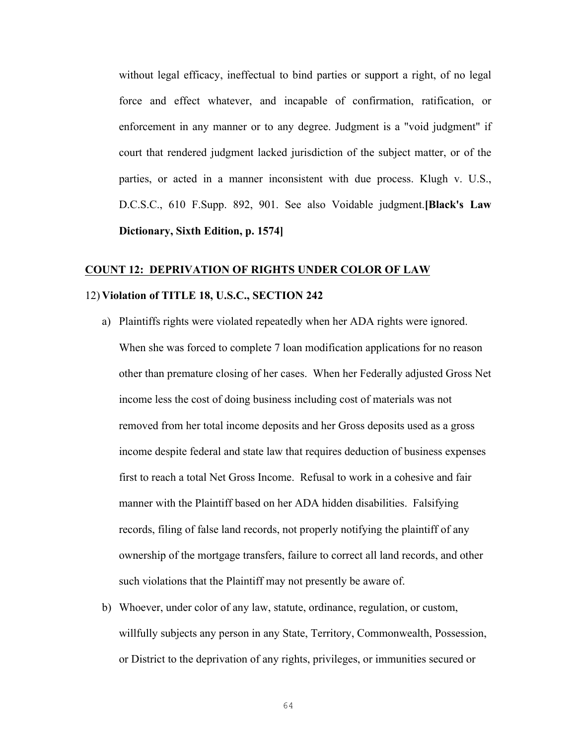without legal efficacy, ineffectual to bind parties or support a right, of no legal force and effect whatever, and incapable of confirmation, ratification, or enforcement in any manner or to any degree. Judgment is a "void judgment" if court that rendered judgment lacked jurisdiction of the subject matter, or of the parties, or acted in a manner inconsistent with due process. Klugh v. U.S., D.C.S.C., 610 F.Supp. 892, 901. See also Voidable judgment.**[Black's Law Dictionary, Sixth Edition, p. 1574]**

# **COUNT 12: DEPRIVATION OF RIGHTS UNDER COLOR OF LAW**

### 12) **Violation of TITLE 18, U.S.C., SECTION 242**

- a) Plaintiffs rights were violated repeatedly when her ADA rights were ignored. When she was forced to complete 7 loan modification applications for no reason other than premature closing of her cases. When her Federally adjusted Gross Net income less the cost of doing business including cost of materials was not removed from her total income deposits and her Gross deposits used as a gross income despite federal and state law that requires deduction of business expenses first to reach a total Net Gross Income. Refusal to work in a cohesive and fair manner with the Plaintiff based on her ADA hidden disabilities. Falsifying records, filing of false land records, not properly notifying the plaintiff of any ownership of the mortgage transfers, failure to correct all land records, and other such violations that the Plaintiff may not presently be aware of.
- b) Whoever, under color of any law, statute, ordinance, regulation, or custom, willfully subjects any person in any State, Territory, Commonwealth, Possession, or District to the deprivation of any rights, privileges, or immunities secured or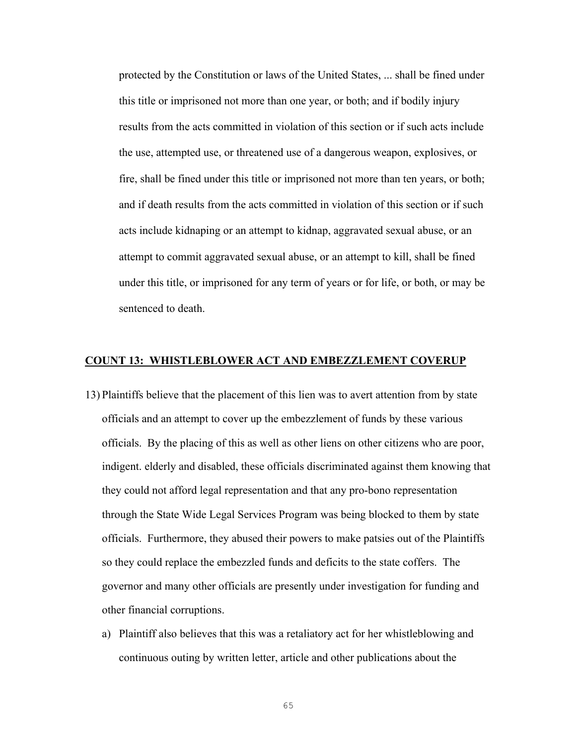protected by the Constitution or laws of the United States, ... shall be fined under this title or imprisoned not more than one year, or both; and if bodily injury results from the acts committed in violation of this section or if such acts include the use, attempted use, or threatened use of a dangerous weapon, explosives, or fire, shall be fined under this title or imprisoned not more than ten years, or both; and if death results from the acts committed in violation of this section or if such acts include kidnaping or an attempt to kidnap, aggravated sexual abuse, or an attempt to commit aggravated sexual abuse, or an attempt to kill, shall be fined under this title, or imprisoned for any term of years or for life, or both, or may be sentenced to death.

### **COUNT 13: WHISTLEBLOWER ACT AND EMBEZZLEMENT COVERUP**

- 13) Plaintiffs believe that the placement of this lien was to avert attention from by state officials and an attempt to cover up the embezzlement of funds by these various officials. By the placing of this as well as other liens on other citizens who are poor, indigent. elderly and disabled, these officials discriminated against them knowing that they could not afford legal representation and that any pro-bono representation through the State Wide Legal Services Program was being blocked to them by state officials. Furthermore, they abused their powers to make patsies out of the Plaintiffs so they could replace the embezzled funds and deficits to the state coffers. The governor and many other officials are presently under investigation for funding and other financial corruptions.
	- a) Plaintiff also believes that this was a retaliatory act for her whistleblowing and continuous outing by written letter, article and other publications about the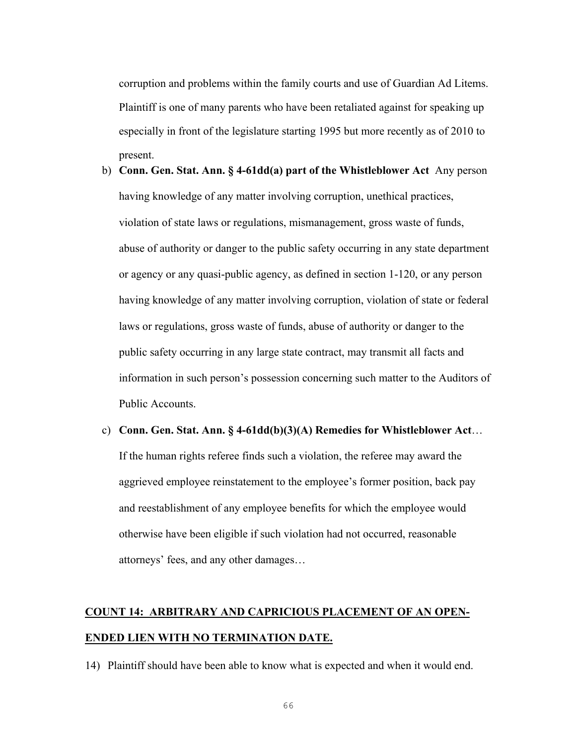corruption and problems within the family courts and use of Guardian Ad Litems. Plaintiff is one of many parents who have been retaliated against for speaking up especially in front of the legislature starting 1995 but more recently as of 2010 to present.

- b) **Conn. Gen. Stat. Ann. § 4-61dd(a) part of the Whistleblower Act** Any person having knowledge of any matter involving corruption, unethical practices, violation of state laws or regulations, mismanagement, gross waste of funds, abuse of authority or danger to the public safety occurring in any state department or agency or any quasi-public agency, as defined in section 1-120, or any person having knowledge of any matter involving corruption, violation of state or federal laws or regulations, gross waste of funds, abuse of authority or danger to the public safety occurring in any large state contract, may transmit all facts and information in such person's possession concerning such matter to the Auditors of Public Accounts.
- c) **Conn. Gen. Stat. Ann. § 4-61dd(b)(3)(A) Remedies for Whistleblower Act**… If the human rights referee finds such a violation, the referee may award the aggrieved employee reinstatement to the employee's former position, back pay and reestablishment of any employee benefits for which the employee would otherwise have been eligible if such violation had not occurred, reasonable attorneys' fees, and any other damages…

### **COUNT 14: ARBITRARY AND CAPRICIOUS PLACEMENT OF AN OPEN-ENDED LIEN WITH NO TERMINATION DATE.**

14) Plaintiff should have been able to know what is expected and when it would end.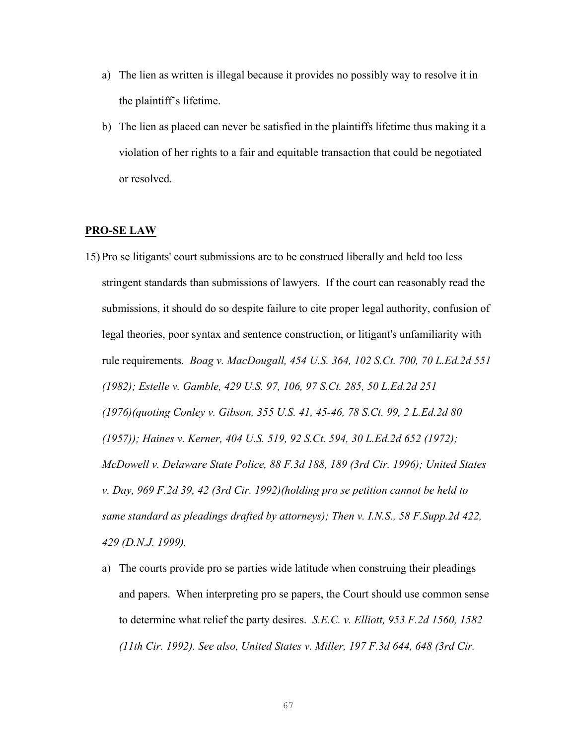- a) The lien as written is illegal because it provides no possibly way to resolve it in the plaintiff's lifetime.
- b) The lien as placed can never be satisfied in the plaintiffs lifetime thus making it a violation of her rights to a fair and equitable transaction that could be negotiated or resolved.

### **PRO-SE LAW**

- 15) Pro se litigants' court submissions are to be construed liberally and held too less stringent standards than submissions of lawyers. If the court can reasonably read the submissions, it should do so despite failure to cite proper legal authority, confusion of legal theories, poor syntax and sentence construction, or litigant's unfamiliarity with rule requirements. *Boag v. MacDougall, 454 U.S. 364, 102 S.Ct. 700, 70 L.Ed.2d 551 (1982); Estelle v. Gamble, 429 U.S. 97, 106, 97 S.Ct. 285, 50 L.Ed.2d 251 (1976)(quoting Conley v. Gibson, 355 U.S. 41, 45-46, 78 S.Ct. 99, 2 L.Ed.2d 80 (1957)); Haines v. Kerner, 404 U.S. 519, 92 S.Ct. 594, 30 L.Ed.2d 652 (1972); McDowell v. Delaware State Police, 88 F.3d 188, 189 (3rd Cir. 1996); United States v. Day, 969 F.2d 39, 42 (3rd Cir. 1992)(holding pro se petition cannot be held to same standard as pleadings drafted by attorneys); Then v. I.N.S., 58 F.Supp.2d 422, 429 (D.N.J. 1999).*
	- a) The courts provide pro se parties wide latitude when construing their pleadings and papers. When interpreting pro se papers, the Court should use common sense to determine what relief the party desires. *S.E.C. v. Elliott, 953 F.2d 1560, 1582 (11th Cir. 1992). See also, United States v. Miller, 197 F.3d 644, 648 (3rd Cir.*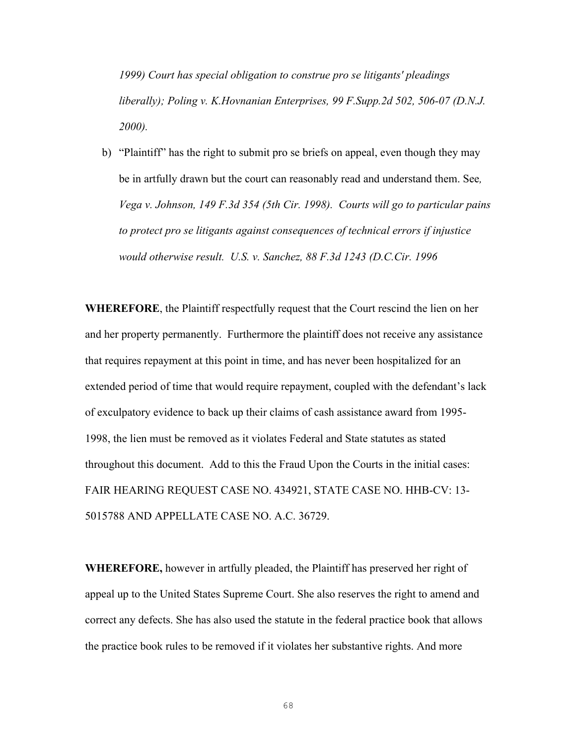*1999) Court has special obligation to construe pro se litigants' pleadings liberally); Poling v. K.Hovnanian Enterprises, 99 F.Supp.2d 502, 506-07 (D.N.J. 2000).*

b) "Plaintiff" has the right to submit pro se briefs on appeal, even though they may be in artfully drawn but the court can reasonably read and understand them. See*, Vega v. Johnson, 149 F.3d 354 (5th Cir. 1998). Courts will go to particular pains to protect pro se litigants against consequences of technical errors if injustice would otherwise result. U.S. v. Sanchez, 88 F.3d 1243 (D.C.Cir. 1996*

**WHEREFORE**, the Plaintiff respectfully request that the Court rescind the lien on her and her property permanently. Furthermore the plaintiff does not receive any assistance that requires repayment at this point in time, and has never been hospitalized for an extended period of time that would require repayment, coupled with the defendant's lack of exculpatory evidence to back up their claims of cash assistance award from 1995- 1998, the lien must be removed as it violates Federal and State statutes as stated throughout this document. Add to this the Fraud Upon the Courts in the initial cases: FAIR HEARING REQUEST CASE NO. 434921, STATE CASE NO. HHB-CV: 13- 5015788 AND APPELLATE CASE NO. A.C. 36729.

**WHEREFORE,** however in artfully pleaded, the Plaintiff has preserved her right of appeal up to the United States Supreme Court. She also reserves the right to amend and correct any defects. She has also used the statute in the federal practice book that allows the practice book rules to be removed if it violates her substantive rights. And more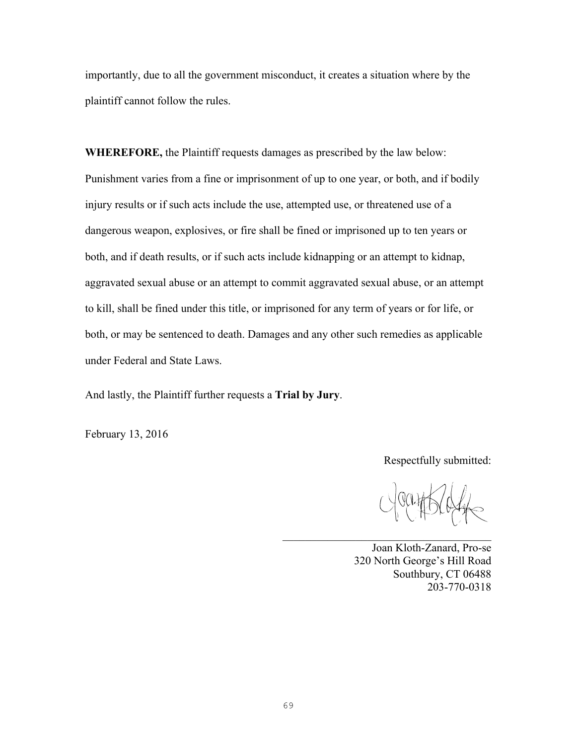importantly, due to all the government misconduct, it creates a situation where by the plaintiff cannot follow the rules.

**WHEREFORE,** the Plaintiff requests damages as prescribed by the law below: Punishment varies from a fine or imprisonment of up to one year, or both, and if bodily injury results or if such acts include the use, attempted use, or threatened use of a dangerous weapon, explosives, or fire shall be fined or imprisoned up to ten years or both, and if death results, or if such acts include kidnapping or an attempt to kidnap, aggravated sexual abuse or an attempt to commit aggravated sexual abuse, or an attempt to kill, shall be fined under this title, or imprisoned for any term of years or for life, or both, or may be sentenced to death. Damages and any other such remedies as applicable under Federal and State Laws.

And lastly, the Plaintiff further requests a **Trial by Jury**.

February 13, 2016

Respectfully submitted:

Joan Kloth-Zanard, Pro-se 320 North George's Hill Road Southbury, CT 06488 203-770-0318

 $\mathcal{L}_\text{max}$  , and the set of the set of the set of the set of the set of the set of the set of the set of the set of the set of the set of the set of the set of the set of the set of the set of the set of the set of the